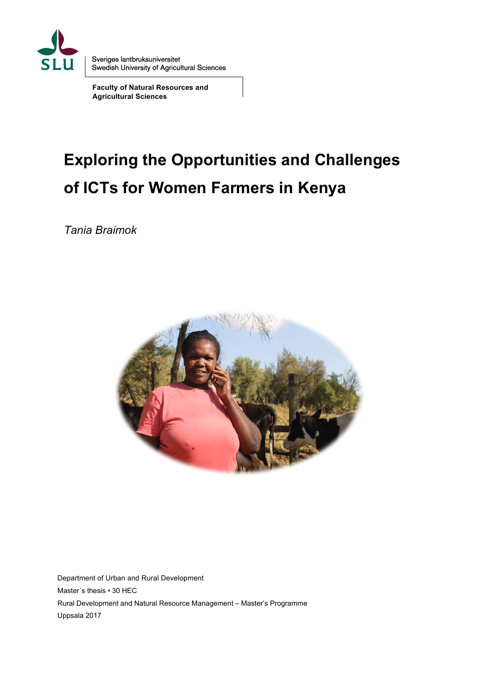

Sveriges lantbruksuniversitet<br>Swedish University of Agricultural Sciences

**Faculty of Natural Resources and Agricultural Sciences**

# **Exploring the Opportunities and Challenges of ICTs for Women Farmers in Kenya**

*Tania Braimok* 



Department of Urban and Rural Development Master´s thesis • 30 HEC Rural Development and Natural Resource Management – Master's Programme Uppsala 2017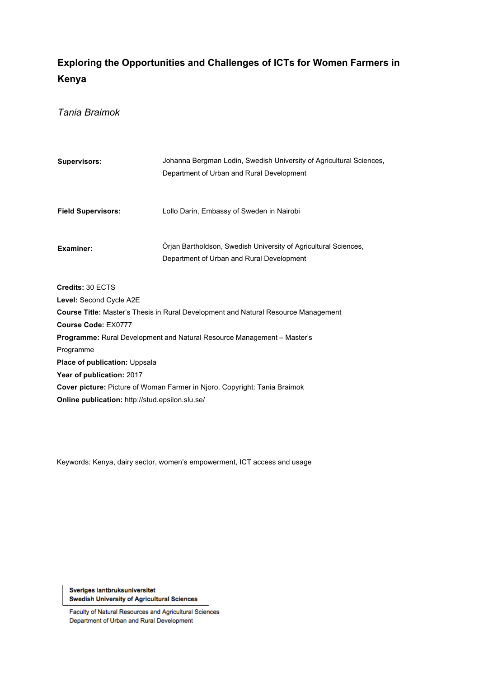# **Exploring the Opportunities and Challenges of ICTs for Women Farmers in Kenya**

*Tania Braimok* 

| <b>Supervisors:</b>       | Johanna Bergman Lodin, Swedish University of Agricultural Sciences, |  |  |
|---------------------------|---------------------------------------------------------------------|--|--|
|                           | Department of Urban and Rural Development                           |  |  |
|                           |                                                                     |  |  |
|                           |                                                                     |  |  |
| <b>Field Supervisors:</b> | Lollo Darin, Embassy of Sweden in Nairobi                           |  |  |
|                           |                                                                     |  |  |
| Examiner:                 | Orian Bartholdson, Swedish University of Agricultural Sciences,     |  |  |
|                           | Department of Urban and Rural Development                           |  |  |

**Credits:** 30 ECTS

**Level:** Second Cycle A2E

**Course Title:** Master's Thesis in Rural Development and Natural Resource Management **Course Code:** EX0777

**Programme:** Rural Development and Natural Resource Management – Master's

Programme

**Place of publication:** Uppsala

**Year of publication:** 2017

**Cover picture:** Picture of Woman Farmer in Njoro. Copyright: Tania Braimok

**Online publication:** http://stud.epsilon.slu.se/

Keywords: Kenya, dairy sector, women's empowerment, ICT access and usage

Sveriges lantbruksuniversitet **Swedish University of Agricultural Sciences** 

Faculty of Natural Resources and Agricultural Sciences Department of Urban and Rural Development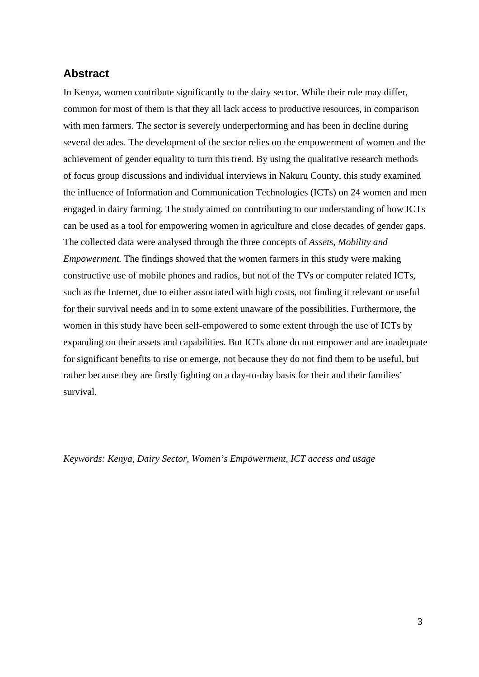## **Abstract**

In Kenya, women contribute significantly to the dairy sector. While their role may differ, common for most of them is that they all lack access to productive resources, in comparison with men farmers. The sector is severely underperforming and has been in decline during several decades. The development of the sector relies on the empowerment of women and the achievement of gender equality to turn this trend. By using the qualitative research methods of focus group discussions and individual interviews in Nakuru County, this study examined the influence of Information and Communication Technologies (ICTs) on 24 women and men engaged in dairy farming. The study aimed on contributing to our understanding of how ICTs can be used as a tool for empowering women in agriculture and close decades of gender gaps. The collected data were analysed through the three concepts of *Assets, Mobility and Empowerment.* The findings showed that the women farmers in this study were making constructive use of mobile phones and radios, but not of the TVs or computer related ICTs, such as the Internet, due to either associated with high costs, not finding it relevant or useful for their survival needs and in to some extent unaware of the possibilities. Furthermore, the women in this study have been self-empowered to some extent through the use of ICTs by expanding on their assets and capabilities. But ICTs alone do not empower and are inadequate for significant benefits to rise or emerge, not because they do not find them to be useful, but rather because they are firstly fighting on a day-to-day basis for their and their families' survival.

*Keywords: Kenya, Dairy Sector, Women's Empowerment, ICT access and usage*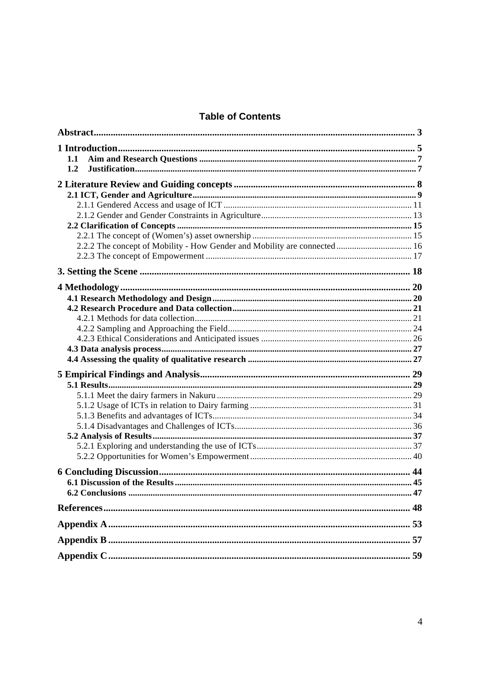## **Table of Contents**

| 1.1                                                                       |  |
|---------------------------------------------------------------------------|--|
| 1.2                                                                       |  |
|                                                                           |  |
|                                                                           |  |
|                                                                           |  |
|                                                                           |  |
|                                                                           |  |
|                                                                           |  |
| 2.2.2 The concept of Mobility - How Gender and Mobility are connected  16 |  |
|                                                                           |  |
|                                                                           |  |
|                                                                           |  |
|                                                                           |  |
|                                                                           |  |
|                                                                           |  |
|                                                                           |  |
|                                                                           |  |
|                                                                           |  |
|                                                                           |  |
|                                                                           |  |
|                                                                           |  |
|                                                                           |  |
|                                                                           |  |
|                                                                           |  |
|                                                                           |  |
|                                                                           |  |
|                                                                           |  |
|                                                                           |  |
|                                                                           |  |
|                                                                           |  |
|                                                                           |  |
|                                                                           |  |
|                                                                           |  |
|                                                                           |  |
|                                                                           |  |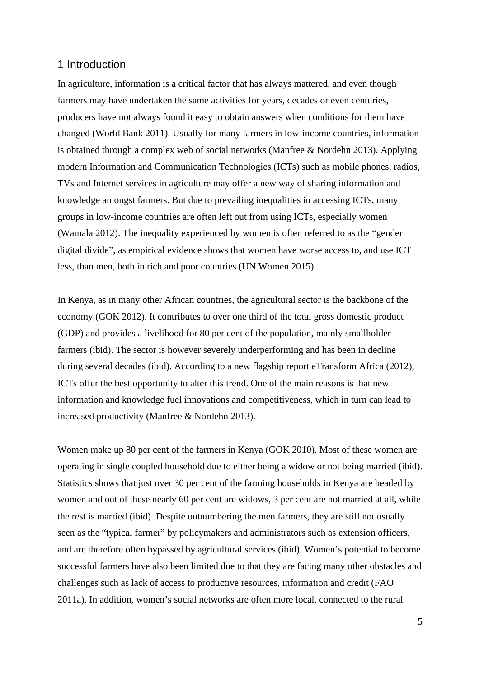## 1 Introduction

In agriculture, information is a critical factor that has always mattered, and even though farmers may have undertaken the same activities for years, decades or even centuries, producers have not always found it easy to obtain answers when conditions for them have changed (World Bank 2011). Usually for many farmers in low-income countries, information is obtained through a complex web of social networks (Manfree & Nordehn 2013). Applying modern Information and Communication Technologies (ICTs) such as mobile phones, radios, TVs and Internet services in agriculture may offer a new way of sharing information and knowledge amongst farmers. But due to prevailing inequalities in accessing ICTs, many groups in low-income countries are often left out from using ICTs, especially women (Wamala 2012). The inequality experienced by women is often referred to as the "gender digital divide", as empirical evidence shows that women have worse access to, and use ICT less, than men, both in rich and poor countries (UN Women 2015).

In Kenya, as in many other African countries, the agricultural sector is the backbone of the economy (GOK 2012). It contributes to over one third of the total gross domestic product (GDP) and provides a livelihood for 80 per cent of the population, mainly smallholder farmers (ibid). The sector is however severely underperforming and has been in decline during several decades (ibid). According to a new flagship report eTransform Africa (2012), ICTs offer the best opportunity to alter this trend. One of the main reasons is that new information and knowledge fuel innovations and competitiveness, which in turn can lead to increased productivity (Manfree & Nordehn 2013).

Women make up 80 per cent of the farmers in Kenya (GOK 2010). Most of these women are operating in single coupled household due to either being a widow or not being married (ibid). Statistics shows that just over 30 per cent of the farming households in Kenya are headed by women and out of these nearly 60 per cent are widows, 3 per cent are not married at all, while the rest is married (ibid). Despite outnumbering the men farmers, they are still not usually seen as the "typical farmer" by policymakers and administrators such as extension officers, and are therefore often bypassed by agricultural services (ibid). Women's potential to become successful farmers have also been limited due to that they are facing many other obstacles and challenges such as lack of access to productive resources, information and credit (FAO 2011a). In addition, women's social networks are often more local, connected to the rural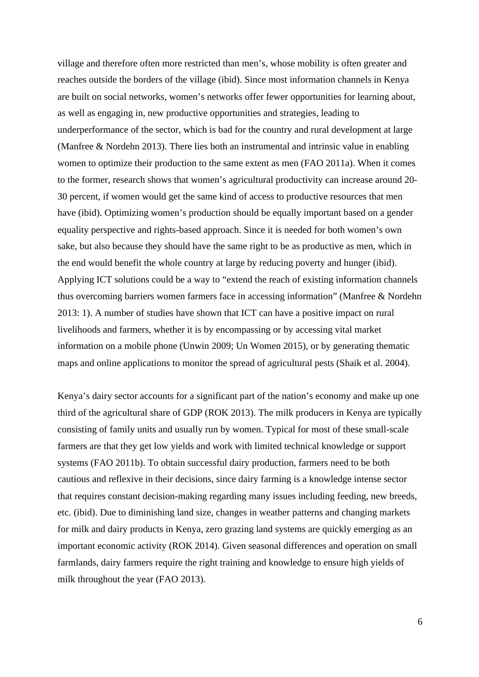village and therefore often more restricted than men's, whose mobility is often greater and reaches outside the borders of the village (ibid). Since most information channels in Kenya are built on social networks, women's networks offer fewer opportunities for learning about, as well as engaging in, new productive opportunities and strategies, leading to underperformance of the sector, which is bad for the country and rural development at large (Manfree & Nordehn 2013). There lies both an instrumental and intrinsic value in enabling women to optimize their production to the same extent as men (FAO 2011a). When it comes to the former, research shows that women's agricultural productivity can increase around 20- 30 percent, if women would get the same kind of access to productive resources that men have (ibid). Optimizing women's production should be equally important based on a gender equality perspective and rights-based approach. Since it is needed for both women's own sake, but also because they should have the same right to be as productive as men, which in the end would benefit the whole country at large by reducing poverty and hunger (ibid). Applying ICT solutions could be a way to "extend the reach of existing information channels thus overcoming barriers women farmers face in accessing information" (Manfree & Nordehn 2013: 1). A number of studies have shown that ICT can have a positive impact on rural livelihoods and farmers, whether it is by encompassing or by accessing vital market information on a mobile phone (Unwin 2009; Un Women 2015), or by generating thematic maps and online applications to monitor the spread of agricultural pests (Shaik et al. 2004).

Kenya's dairy sector accounts for a significant part of the nation's economy and make up one third of the agricultural share of GDP (ROK 2013). The milk producers in Kenya are typically consisting of family units and usually run by women. Typical for most of these small-scale farmers are that they get low yields and work with limited technical knowledge or support systems (FAO 2011b). To obtain successful dairy production, farmers need to be both cautious and reflexive in their decisions, since dairy farming is a knowledge intense sector that requires constant decision-making regarding many issues including feeding, new breeds, etc. (ibid). Due to diminishing land size, changes in weather patterns and changing markets for milk and dairy products in Kenya, zero grazing land systems are quickly emerging as an important economic activity (ROK 2014). Given seasonal differences and operation on small farmlands, dairy farmers require the right training and knowledge to ensure high yields of milk throughout the year (FAO 2013).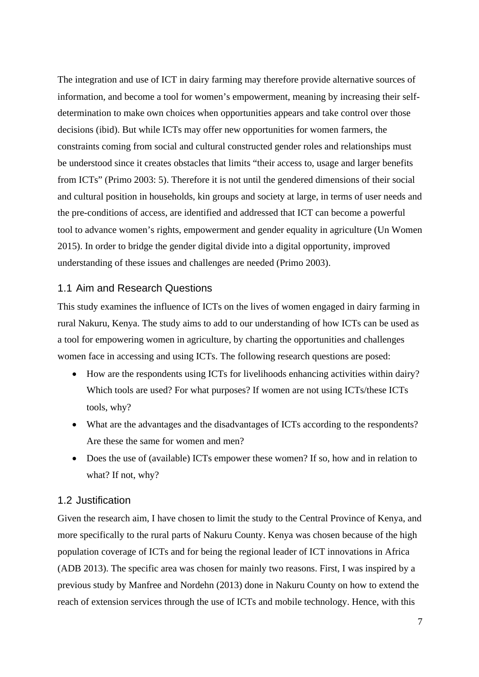The integration and use of ICT in dairy farming may therefore provide alternative sources of information, and become a tool for women's empowerment, meaning by increasing their selfdetermination to make own choices when opportunities appears and take control over those decisions (ibid). But while ICTs may offer new opportunities for women farmers, the constraints coming from social and cultural constructed gender roles and relationships must be understood since it creates obstacles that limits "their access to, usage and larger benefits from ICTs" (Primo 2003: 5). Therefore it is not until the gendered dimensions of their social and cultural position in households, kin groups and society at large, in terms of user needs and the pre-conditions of access, are identified and addressed that ICT can become a powerful tool to advance women's rights, empowerment and gender equality in agriculture (Un Women 2015). In order to bridge the gender digital divide into a digital opportunity, improved understanding of these issues and challenges are needed (Primo 2003).

#### 1.1 Aim and Research Questions

This study examines the influence of ICTs on the lives of women engaged in dairy farming in rural Nakuru, Kenya. The study aims to add to our understanding of how ICTs can be used as a tool for empowering women in agriculture, by charting the opportunities and challenges women face in accessing and using ICTs. The following research questions are posed:

- How are the respondents using ICTs for livelihoods enhancing activities within dairy? Which tools are used? For what purposes? If women are not using ICTs/these ICTs tools, why?
- What are the advantages and the disadvantages of ICTs according to the respondents? Are these the same for women and men?
- Does the use of (available) ICTs empower these women? If so, how and in relation to what? If not, why?

## 1.2 Justification

Given the research aim, I have chosen to limit the study to the Central Province of Kenya, and more specifically to the rural parts of Nakuru County. Kenya was chosen because of the high population coverage of ICTs and for being the regional leader of ICT innovations in Africa (ADB 2013). The specific area was chosen for mainly two reasons. First, I was inspired by a previous study by Manfree and Nordehn (2013) done in Nakuru County on how to extend the reach of extension services through the use of ICTs and mobile technology. Hence, with this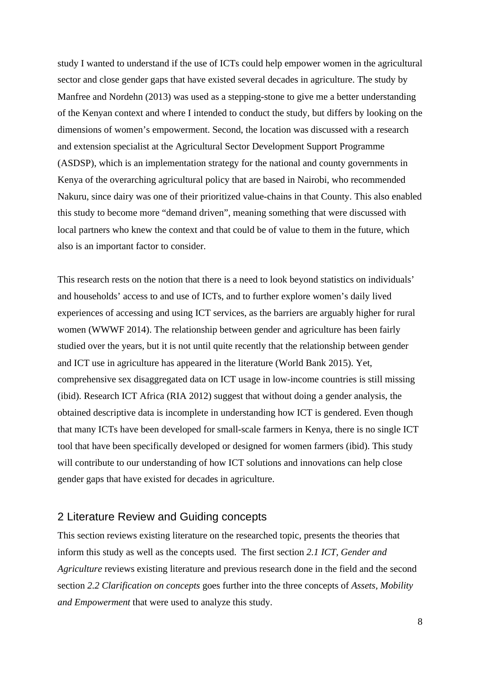study I wanted to understand if the use of ICTs could help empower women in the agricultural sector and close gender gaps that have existed several decades in agriculture. The study by Manfree and Nordehn (2013) was used as a stepping-stone to give me a better understanding of the Kenyan context and where I intended to conduct the study, but differs by looking on the dimensions of women's empowerment. Second, the location was discussed with a research and extension specialist at the Agricultural Sector Development Support Programme (ASDSP), which is an implementation strategy for the national and county governments in Kenya of the overarching agricultural policy that are based in Nairobi, who recommended Nakuru, since dairy was one of their prioritized value-chains in that County. This also enabled this study to become more "demand driven", meaning something that were discussed with local partners who knew the context and that could be of value to them in the future, which also is an important factor to consider.

This research rests on the notion that there is a need to look beyond statistics on individuals' and households' access to and use of ICTs, and to further explore women's daily lived experiences of accessing and using ICT services, as the barriers are arguably higher for rural women (WWWF 2014). The relationship between gender and agriculture has been fairly studied over the years, but it is not until quite recently that the relationship between gender and ICT use in agriculture has appeared in the literature (World Bank 2015). Yet, comprehensive sex disaggregated data on ICT usage in low-income countries is still missing (ibid). Research ICT Africa (RIA 2012) suggest that without doing a gender analysis, the obtained descriptive data is incomplete in understanding how ICT is gendered. Even though that many ICTs have been developed for small-scale farmers in Kenya, there is no single ICT tool that have been specifically developed or designed for women farmers (ibid). This study will contribute to our understanding of how ICT solutions and innovations can help close gender gaps that have existed for decades in agriculture.

## 2 Literature Review and Guiding concepts

This section reviews existing literature on the researched topic, presents the theories that inform this study as well as the concepts used. The first section *2.1 ICT, Gender and Agriculture* reviews existing literature and previous research done in the field and the second section *2.2 Clarification on concepts* goes further into the three concepts of *Assets, Mobility and Empowerment* that were used to analyze this study.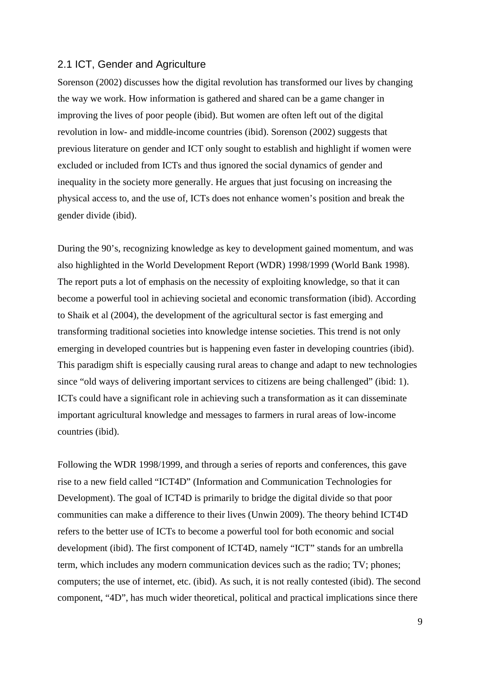#### 2.1 ICT, Gender and Agriculture

Sorenson (2002) discusses how the digital revolution has transformed our lives by changing the way we work. How information is gathered and shared can be a game changer in improving the lives of poor people (ibid). But women are often left out of the digital revolution in low- and middle-income countries (ibid). Sorenson (2002) suggests that previous literature on gender and ICT only sought to establish and highlight if women were excluded or included from ICTs and thus ignored the social dynamics of gender and inequality in the society more generally. He argues that just focusing on increasing the physical access to, and the use of, ICTs does not enhance women's position and break the gender divide (ibid).

During the 90's, recognizing knowledge as key to development gained momentum, and was also highlighted in the World Development Report (WDR) 1998/1999 (World Bank 1998). The report puts a lot of emphasis on the necessity of exploiting knowledge, so that it can become a powerful tool in achieving societal and economic transformation (ibid). According to Shaik et al (2004), the development of the agricultural sector is fast emerging and transforming traditional societies into knowledge intense societies. This trend is not only emerging in developed countries but is happening even faster in developing countries (ibid). This paradigm shift is especially causing rural areas to change and adapt to new technologies since "old ways of delivering important services to citizens are being challenged" (ibid: 1). ICTs could have a significant role in achieving such a transformation as it can disseminate important agricultural knowledge and messages to farmers in rural areas of low-income countries (ibid).

Following the WDR 1998/1999, and through a series of reports and conferences, this gave rise to a new field called "ICT4D" (Information and Communication Technologies for Development). The goal of ICT4D is primarily to bridge the digital divide so that poor communities can make a difference to their lives (Unwin 2009). The theory behind ICT4D refers to the better use of ICTs to become a powerful tool for both economic and social development (ibid). The first component of ICT4D, namely "ICT" stands for an umbrella term, which includes any modern communication devices such as the radio; TV; phones; computers; the use of internet, etc. (ibid). As such, it is not really contested (ibid). The second component, "4D", has much wider theoretical, political and practical implications since there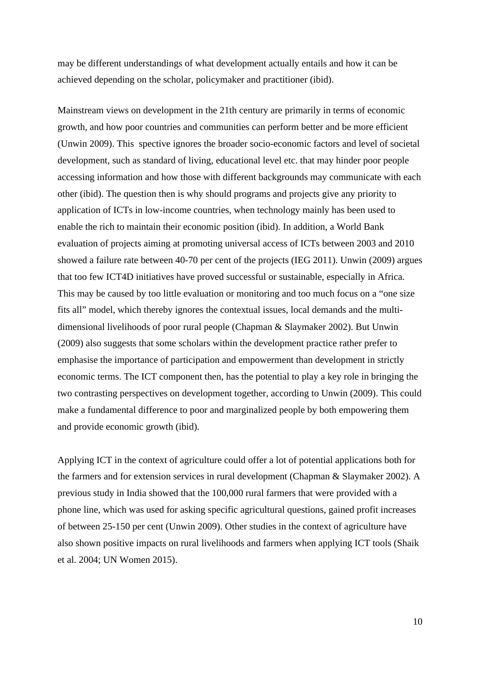may be different understandings of what development actually entails and how it can be achieved depending on the scholar, policymaker and practitioner (ibid).

Mainstream views on development in the 21th century are primarily in terms of economic growth, and how poor countries and communities can perform better and be more efficient (Unwin 2009). This spective ignores the broader socio-economic factors and level of societal development, such as standard of living, educational level etc. that may hinder poor people accessing information and how those with different backgrounds may communicate with each other (ibid). The question then is why should programs and projects give any priority to application of ICTs in low-income countries, when technology mainly has been used to enable the rich to maintain their economic position (ibid). In addition, a World Bank evaluation of projects aiming at promoting universal access of ICTs between 2003 and 2010 showed a failure rate between 40-70 per cent of the projects (IEG 2011). Unwin (2009) argues that too few ICT4D initiatives have proved successful or sustainable, especially in Africa. This may be caused by too little evaluation or monitoring and too much focus on a "one size fits all" model, which thereby ignores the contextual issues, local demands and the multidimensional livelihoods of poor rural people (Chapman & Slaymaker 2002). But Unwin (2009) also suggests that some scholars within the development practice rather prefer to emphasise the importance of participation and empowerment than development in strictly economic terms. The ICT component then, has the potential to play a key role in bringing the two contrasting perspectives on development together, according to Unwin (2009). This could make a fundamental difference to poor and marginalized people by both empowering them and provide economic growth (ibid).

Applying ICT in the context of agriculture could offer a lot of potential applications both for the farmers and for extension services in rural development (Chapman & Slaymaker 2002). A previous study in India showed that the 100,000 rural farmers that were provided with a phone line, which was used for asking specific agricultural questions, gained profit increases of between 25-150 per cent (Unwin 2009). Other studies in the context of agriculture have also shown positive impacts on rural livelihoods and farmers when applying ICT tools (Shaik et al. 2004; UN Women 2015).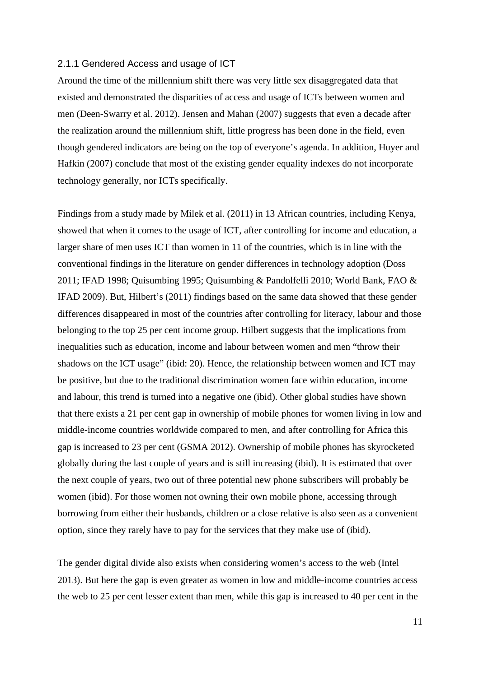#### 2.1.1 Gendered Access and usage of ICT

Around the time of the millennium shift there was very little sex disaggregated data that existed and demonstrated the disparities of access and usage of ICTs between women and men (Deen-Swarry et al. 2012). Jensen and Mahan (2007) suggests that even a decade after the realization around the millennium shift, little progress has been done in the field, even though gendered indicators are being on the top of everyone's agenda. In addition, Huyer and Hafkin (2007) conclude that most of the existing gender equality indexes do not incorporate technology generally, nor ICTs specifically.

Findings from a study made by Milek et al. (2011) in 13 African countries, including Kenya, showed that when it comes to the usage of ICT, after controlling for income and education, a larger share of men uses ICT than women in 11 of the countries, which is in line with the conventional findings in the literature on gender differences in technology adoption (Doss 2011; IFAD 1998; Quisumbing 1995; Quisumbing & Pandolfelli 2010; World Bank, FAO & IFAD 2009). But, Hilbert's (2011) findings based on the same data showed that these gender differences disappeared in most of the countries after controlling for literacy, labour and those belonging to the top 25 per cent income group. Hilbert suggests that the implications from inequalities such as education, income and labour between women and men "throw their shadows on the ICT usage" (ibid: 20). Hence, the relationship between women and ICT may be positive, but due to the traditional discrimination women face within education, income and labour, this trend is turned into a negative one (ibid). Other global studies have shown that there exists a 21 per cent gap in ownership of mobile phones for women living in low and middle-income countries worldwide compared to men, and after controlling for Africa this gap is increased to 23 per cent (GSMA 2012). Ownership of mobile phones has skyrocketed globally during the last couple of years and is still increasing (ibid). It is estimated that over the next couple of years, two out of three potential new phone subscribers will probably be women (ibid). For those women not owning their own mobile phone, accessing through borrowing from either their husbands, children or a close relative is also seen as a convenient option, since they rarely have to pay for the services that they make use of (ibid).

The gender digital divide also exists when considering women's access to the web (Intel 2013). But here the gap is even greater as women in low and middle-income countries access the web to 25 per cent lesser extent than men, while this gap is increased to 40 per cent in the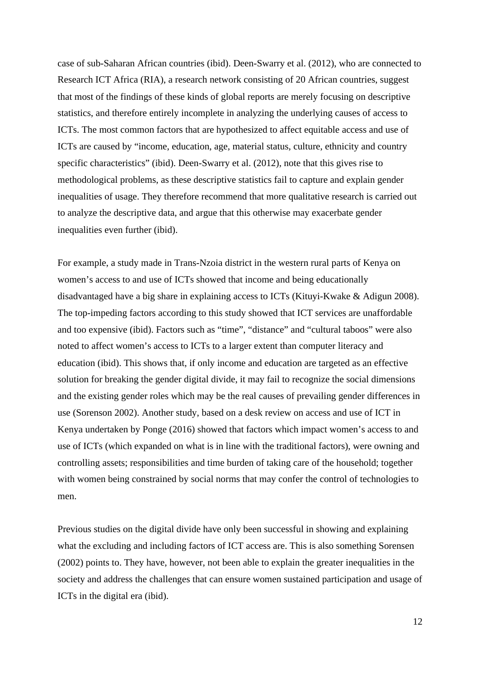case of sub-Saharan African countries (ibid). Deen-Swarry et al. (2012), who are connected to Research ICT Africa (RIA), a research network consisting of 20 African countries, suggest that most of the findings of these kinds of global reports are merely focusing on descriptive statistics, and therefore entirely incomplete in analyzing the underlying causes of access to ICTs. The most common factors that are hypothesized to affect equitable access and use of ICTs are caused by "income, education, age, material status, culture, ethnicity and country specific characteristics" (ibid). Deen-Swarry et al. (2012), note that this gives rise to methodological problems, as these descriptive statistics fail to capture and explain gender inequalities of usage. They therefore recommend that more qualitative research is carried out to analyze the descriptive data, and argue that this otherwise may exacerbate gender inequalities even further (ibid).

For example, a study made in Trans-Nzoia district in the western rural parts of Kenya on women's access to and use of ICTs showed that income and being educationally disadvantaged have a big share in explaining access to ICTs (Kituyi-Kwake & Adigun 2008). The top-impeding factors according to this study showed that ICT services are unaffordable and too expensive (ibid). Factors such as "time", "distance" and "cultural taboos" were also noted to affect women's access to ICTs to a larger extent than computer literacy and education (ibid). This shows that, if only income and education are targeted as an effective solution for breaking the gender digital divide, it may fail to recognize the social dimensions and the existing gender roles which may be the real causes of prevailing gender differences in use (Sorenson 2002). Another study, based on a desk review on access and use of ICT in Kenya undertaken by Ponge (2016) showed that factors which impact women's access to and use of ICTs (which expanded on what is in line with the traditional factors), were owning and controlling assets; responsibilities and time burden of taking care of the household; together with women being constrained by social norms that may confer the control of technologies to men.

Previous studies on the digital divide have only been successful in showing and explaining what the excluding and including factors of ICT access are. This is also something Sorensen (2002) points to. They have, however, not been able to explain the greater inequalities in the society and address the challenges that can ensure women sustained participation and usage of ICTs in the digital era (ibid).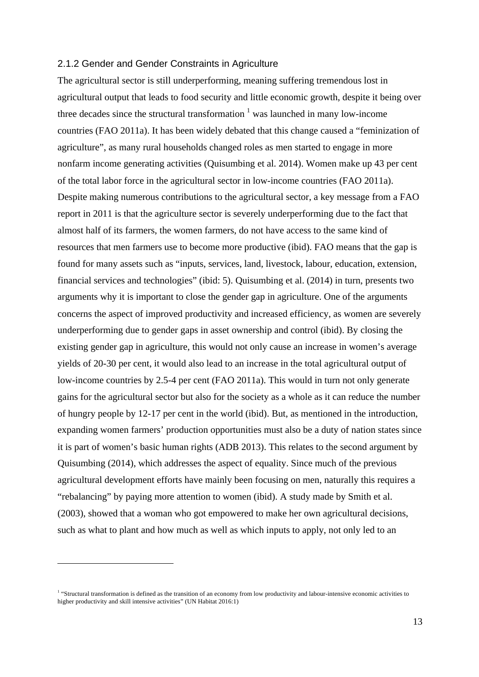#### 2.1.2 Gender and Gender Constraints in Agriculture

The agricultural sector is still underperforming, meaning suffering tremendous lost in agricultural output that leads to food security and little economic growth, despite it being over three decades since the structural transformation  $\frac{1}{1}$  was launched in many low-income countries (FAO 2011a). It has been widely debated that this change caused a "feminization of agriculture", as many rural households changed roles as men started to engage in more nonfarm income generating activities (Quisumbing et al. 2014). Women make up 43 per cent of the total labor force in the agricultural sector in low-income countries (FAO 2011a). Despite making numerous contributions to the agricultural sector, a key message from a FAO report in 2011 is that the agriculture sector is severely underperforming due to the fact that almost half of its farmers, the women farmers, do not have access to the same kind of resources that men farmers use to become more productive (ibid). FAO means that the gap is found for many assets such as "inputs, services, land, livestock, labour, education, extension, financial services and technologies" (ibid: 5). Quisumbing et al. (2014) in turn, presents two arguments why it is important to close the gender gap in agriculture. One of the arguments concerns the aspect of improved productivity and increased efficiency, as women are severely underperforming due to gender gaps in asset ownership and control (ibid). By closing the existing gender gap in agriculture, this would not only cause an increase in women's average yields of 20-30 per cent, it would also lead to an increase in the total agricultural output of low-income countries by 2.5-4 per cent (FAO 2011a). This would in turn not only generate gains for the agricultural sector but also for the society as a whole as it can reduce the number of hungry people by 12-17 per cent in the world (ibid). But, as mentioned in the introduction, expanding women farmers' production opportunities must also be a duty of nation states since it is part of women's basic human rights (ADB 2013). This relates to the second argument by Quisumbing (2014), which addresses the aspect of equality. Since much of the previous agricultural development efforts have mainly been focusing on men, naturally this requires a "rebalancing" by paying more attention to women (ibid). A study made by Smith et al. (2003), showed that a woman who got empowered to make her own agricultural decisions, such as what to plant and how much as well as which inputs to apply, not only led to an

 $\overline{a}$ 

<sup>&</sup>lt;sup>1</sup> "Structural transformation is defined as the transition of an economy from low productivity and labour-intensive economic activities to higher productivity and skill intensive activities" (UN Habitat 2016:1)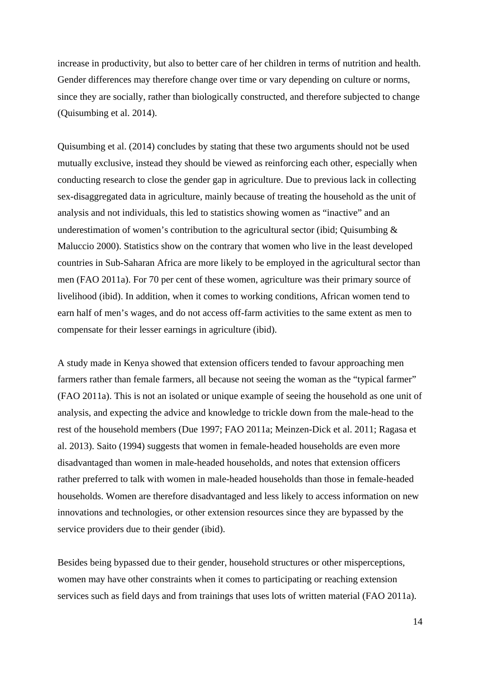increase in productivity, but also to better care of her children in terms of nutrition and health. Gender differences may therefore change over time or vary depending on culture or norms, since they are socially, rather than biologically constructed, and therefore subjected to change (Quisumbing et al. 2014).

Quisumbing et al. (2014) concludes by stating that these two arguments should not be used mutually exclusive, instead they should be viewed as reinforcing each other, especially when conducting research to close the gender gap in agriculture. Due to previous lack in collecting sex-disaggregated data in agriculture, mainly because of treating the household as the unit of analysis and not individuals, this led to statistics showing women as "inactive" and an underestimation of women's contribution to the agricultural sector (ibid; Quisumbing  $\&$ Maluccio 2000). Statistics show on the contrary that women who live in the least developed countries in Sub-Saharan Africa are more likely to be employed in the agricultural sector than men (FAO 2011a). For 70 per cent of these women, agriculture was their primary source of livelihood (ibid). In addition, when it comes to working conditions, African women tend to earn half of men's wages, and do not access off-farm activities to the same extent as men to compensate for their lesser earnings in agriculture (ibid).

A study made in Kenya showed that extension officers tended to favour approaching men farmers rather than female farmers, all because not seeing the woman as the "typical farmer" (FAO 2011a). This is not an isolated or unique example of seeing the household as one unit of analysis, and expecting the advice and knowledge to trickle down from the male-head to the rest of the household members (Due 1997; FAO 2011a; Meinzen-Dick et al. 2011; Ragasa et al. 2013). Saito (1994) suggests that women in female-headed households are even more disadvantaged than women in male-headed households, and notes that extension officers rather preferred to talk with women in male-headed households than those in female-headed households. Women are therefore disadvantaged and less likely to access information on new innovations and technologies, or other extension resources since they are bypassed by the service providers due to their gender (ibid).

Besides being bypassed due to their gender, household structures or other misperceptions, women may have other constraints when it comes to participating or reaching extension services such as field days and from trainings that uses lots of written material (FAO 2011a).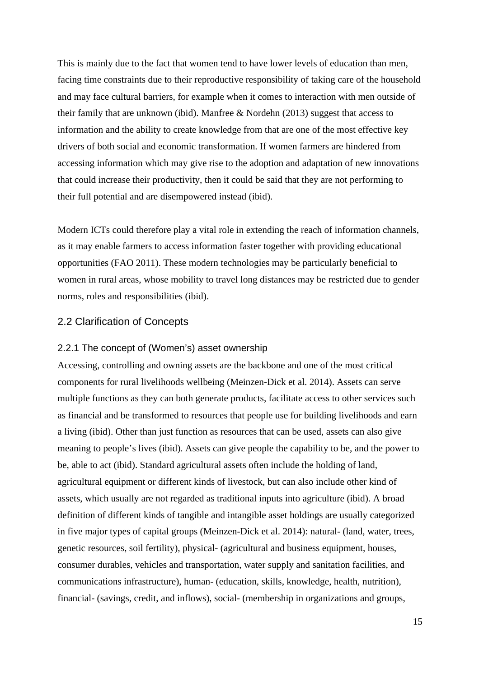This is mainly due to the fact that women tend to have lower levels of education than men, facing time constraints due to their reproductive responsibility of taking care of the household and may face cultural barriers, for example when it comes to interaction with men outside of their family that are unknown (ibid). Manfree & Nordehn (2013) suggest that access to information and the ability to create knowledge from that are one of the most effective key drivers of both social and economic transformation. If women farmers are hindered from accessing information which may give rise to the adoption and adaptation of new innovations that could increase their productivity, then it could be said that they are not performing to their full potential and are disempowered instead (ibid).

Modern ICTs could therefore play a vital role in extending the reach of information channels, as it may enable farmers to access information faster together with providing educational opportunities (FAO 2011). These modern technologies may be particularly beneficial to women in rural areas, whose mobility to travel long distances may be restricted due to gender norms, roles and responsibilities (ibid).

#### 2.2 Clarification of Concepts

#### 2.2.1 The concept of (Women's) asset ownership

Accessing, controlling and owning assets are the backbone and one of the most critical components for rural livelihoods wellbeing (Meinzen-Dick et al. 2014). Assets can serve multiple functions as they can both generate products, facilitate access to other services such as financial and be transformed to resources that people use for building livelihoods and earn a living (ibid). Other than just function as resources that can be used, assets can also give meaning to people's lives (ibid). Assets can give people the capability to be, and the power to be, able to act (ibid). Standard agricultural assets often include the holding of land, agricultural equipment or different kinds of livestock, but can also include other kind of assets, which usually are not regarded as traditional inputs into agriculture (ibid). A broad definition of different kinds of tangible and intangible asset holdings are usually categorized in five major types of capital groups (Meinzen-Dick et al. 2014): natural- (land, water, trees, genetic resources, soil fertility), physical- (agricultural and business equipment, houses, consumer durables, vehicles and transportation, water supply and sanitation facilities, and communications infrastructure), human- (education, skills, knowledge, health, nutrition), financial- (savings, credit, and inflows), social- (membership in organizations and groups,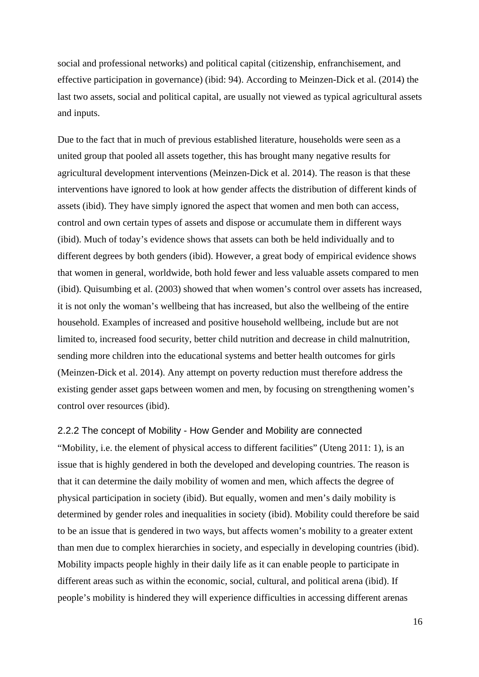social and professional networks) and political capital (citizenship, enfranchisement, and effective participation in governance) (ibid: 94). According to Meinzen-Dick et al. (2014) the last two assets, social and political capital, are usually not viewed as typical agricultural assets and inputs.

Due to the fact that in much of previous established literature, households were seen as a united group that pooled all assets together, this has brought many negative results for agricultural development interventions (Meinzen-Dick et al. 2014). The reason is that these interventions have ignored to look at how gender affects the distribution of different kinds of assets (ibid). They have simply ignored the aspect that women and men both can access, control and own certain types of assets and dispose or accumulate them in different ways (ibid). Much of today's evidence shows that assets can both be held individually and to different degrees by both genders (ibid). However, a great body of empirical evidence shows that women in general, worldwide, both hold fewer and less valuable assets compared to men (ibid). Quisumbing et al. (2003) showed that when women's control over assets has increased, it is not only the woman's wellbeing that has increased, but also the wellbeing of the entire household. Examples of increased and positive household wellbeing, include but are not limited to, increased food security, better child nutrition and decrease in child malnutrition, sending more children into the educational systems and better health outcomes for girls (Meinzen-Dick et al. 2014). Any attempt on poverty reduction must therefore address the existing gender asset gaps between women and men, by focusing on strengthening women's control over resources (ibid).

#### 2.2.2 The concept of Mobility - How Gender and Mobility are connected

"Mobility, i.e. the element of physical access to different facilities" (Uteng 2011: 1), is an issue that is highly gendered in both the developed and developing countries. The reason is that it can determine the daily mobility of women and men, which affects the degree of physical participation in society (ibid). But equally, women and men's daily mobility is determined by gender roles and inequalities in society (ibid). Mobility could therefore be said to be an issue that is gendered in two ways, but affects women's mobility to a greater extent than men due to complex hierarchies in society, and especially in developing countries (ibid). Mobility impacts people highly in their daily life as it can enable people to participate in different areas such as within the economic, social, cultural, and political arena (ibid). If people's mobility is hindered they will experience difficulties in accessing different arenas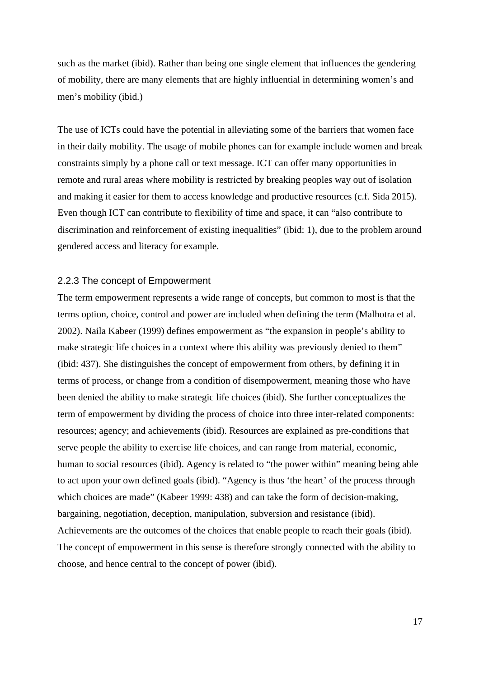such as the market (ibid). Rather than being one single element that influences the gendering of mobility, there are many elements that are highly influential in determining women's and men's mobility (ibid.)

The use of ICTs could have the potential in alleviating some of the barriers that women face in their daily mobility. The usage of mobile phones can for example include women and break constraints simply by a phone call or text message. ICT can offer many opportunities in remote and rural areas where mobility is restricted by breaking peoples way out of isolation and making it easier for them to access knowledge and productive resources (c.f. Sida 2015). Even though ICT can contribute to flexibility of time and space, it can "also contribute to discrimination and reinforcement of existing inequalities" (ibid: 1), due to the problem around gendered access and literacy for example.

#### 2.2.3 The concept of Empowerment

The term empowerment represents a wide range of concepts, but common to most is that the terms option, choice, control and power are included when defining the term (Malhotra et al. 2002). Naila Kabeer (1999) defines empowerment as "the expansion in people's ability to make strategic life choices in a context where this ability was previously denied to them" (ibid: 437). She distinguishes the concept of empowerment from others, by defining it in terms of process, or change from a condition of disempowerment, meaning those who have been denied the ability to make strategic life choices (ibid). She further conceptualizes the term of empowerment by dividing the process of choice into three inter-related components: resources; agency; and achievements (ibid). Resources are explained as pre-conditions that serve people the ability to exercise life choices, and can range from material, economic, human to social resources (ibid). Agency is related to "the power within" meaning being able to act upon your own defined goals (ibid). "Agency is thus 'the heart' of the process through which choices are made" (Kabeer 1999: 438) and can take the form of decision-making, bargaining, negotiation, deception, manipulation, subversion and resistance (ibid). Achievements are the outcomes of the choices that enable people to reach their goals (ibid). The concept of empowerment in this sense is therefore strongly connected with the ability to choose, and hence central to the concept of power (ibid).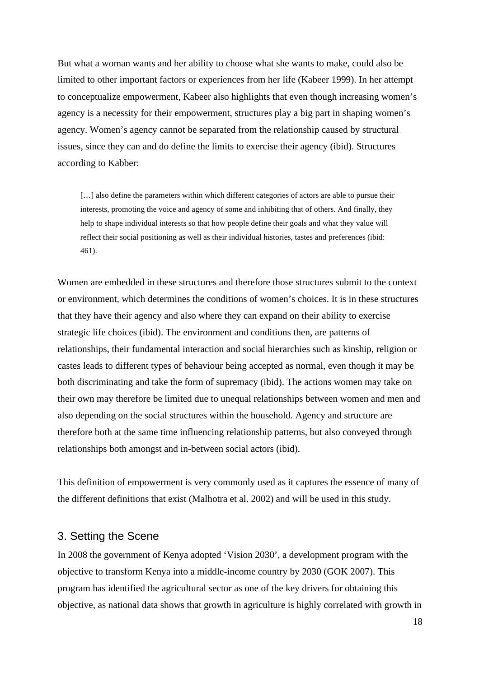But what a woman wants and her ability to choose what she wants to make, could also be limited to other important factors or experiences from her life (Kabeer 1999). In her attempt to conceptualize empowerment, Kabeer also highlights that even though increasing women's agency is a necessity for their empowerment, structures play a big part in shaping women's agency. Women's agency cannot be separated from the relationship caused by structural issues, since they can and do define the limits to exercise their agency (ibid). Structures according to Kabber:

[...] also define the parameters within which different categories of actors are able to pursue their interests, promoting the voice and agency of some and inhibiting that of others. And finally, they help to shape individual interests so that how people define their goals and what they value will reflect their social positioning as well as their individual histories, tastes and preferences (ibid: 461).

Women are embedded in these structures and therefore those structures submit to the context or environment, which determines the conditions of women's choices. It is in these structures that they have their agency and also where they can expand on their ability to exercise strategic life choices (ibid). The environment and conditions then, are patterns of relationships, their fundamental interaction and social hierarchies such as kinship, religion or castes leads to different types of behaviour being accepted as normal, even though it may be both discriminating and take the form of supremacy (ibid). The actions women may take on their own may therefore be limited due to unequal relationships between women and men and also depending on the social structures within the household. Agency and structure are therefore both at the same time influencing relationship patterns, but also conveyed through relationships both amongst and in-between social actors (ibid).

This definition of empowerment is very commonly used as it captures the essence of many of the different definitions that exist (Malhotra et al. 2002) and will be used in this study.

### 3. Setting the Scene

In 2008 the government of Kenya adopted 'Vision 2030', a development program with the objective to transform Kenya into a middle-income country by 2030 (GOK 2007). This program has identified the agricultural sector as one of the key drivers for obtaining this objective, as national data shows that growth in agriculture is highly correlated with growth in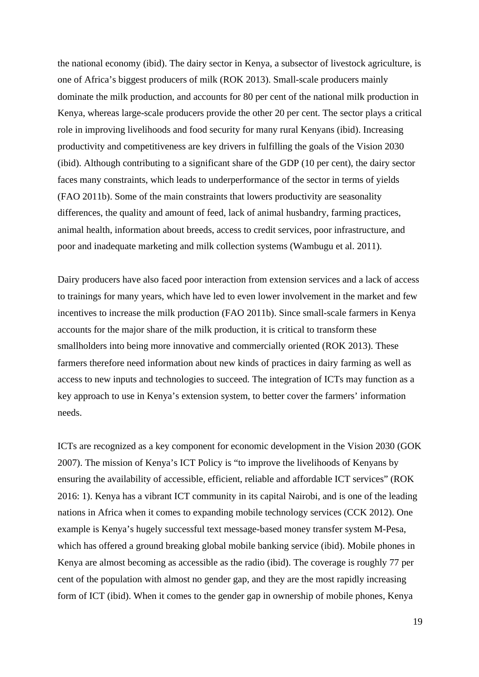the national economy (ibid). The dairy sector in Kenya, a subsector of livestock agriculture, is one of Africa's biggest producers of milk (ROK 2013). Small-scale producers mainly dominate the milk production, and accounts for 80 per cent of the national milk production in Kenya, whereas large-scale producers provide the other 20 per cent. The sector plays a critical role in improving livelihoods and food security for many rural Kenyans (ibid). Increasing productivity and competitiveness are key drivers in fulfilling the goals of the Vision 2030 (ibid). Although contributing to a significant share of the GDP (10 per cent), the dairy sector faces many constraints, which leads to underperformance of the sector in terms of yields (FAO 2011b). Some of the main constraints that lowers productivity are seasonality differences, the quality and amount of feed, lack of animal husbandry, farming practices, animal health, information about breeds, access to credit services, poor infrastructure, and poor and inadequate marketing and milk collection systems (Wambugu et al. 2011).

Dairy producers have also faced poor interaction from extension services and a lack of access to trainings for many years, which have led to even lower involvement in the market and few incentives to increase the milk production (FAO 2011b). Since small-scale farmers in Kenya accounts for the major share of the milk production, it is critical to transform these smallholders into being more innovative and commercially oriented (ROK 2013). These farmers therefore need information about new kinds of practices in dairy farming as well as access to new inputs and technologies to succeed. The integration of ICTs may function as a key approach to use in Kenya's extension system, to better cover the farmers' information needs.

ICTs are recognized as a key component for economic development in the Vision 2030 (GOK 2007). The mission of Kenya's ICT Policy is "to improve the livelihoods of Kenyans by ensuring the availability of accessible, efficient, reliable and affordable ICT services" (ROK 2016: 1). Kenya has a vibrant ICT community in its capital Nairobi, and is one of the leading nations in Africa when it comes to expanding mobile technology services (CCK 2012). One example is Kenya's hugely successful text message-based money transfer system M-Pesa, which has offered a ground breaking global mobile banking service (ibid). Mobile phones in Kenya are almost becoming as accessible as the radio (ibid). The coverage is roughly 77 per cent of the population with almost no gender gap, and they are the most rapidly increasing form of ICT (ibid). When it comes to the gender gap in ownership of mobile phones, Kenya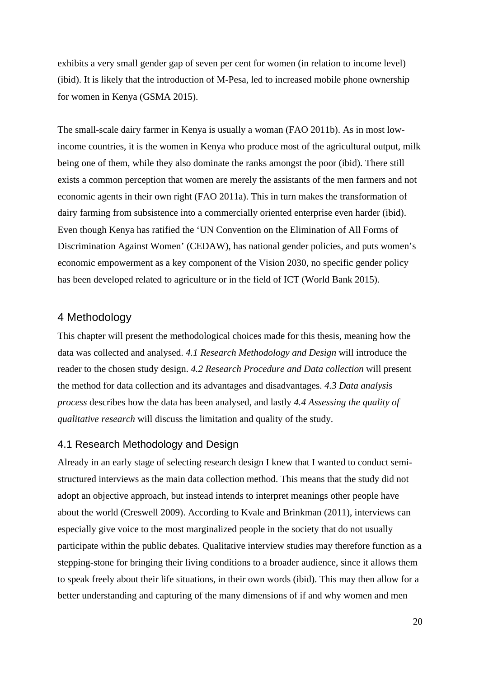exhibits a very small gender gap of seven per cent for women (in relation to income level) (ibid). It is likely that the introduction of M-Pesa, led to increased mobile phone ownership for women in Kenya (GSMA 2015).

The small-scale dairy farmer in Kenya is usually a woman (FAO 2011b). As in most lowincome countries, it is the women in Kenya who produce most of the agricultural output, milk being one of them, while they also dominate the ranks amongst the poor (ibid). There still exists a common perception that women are merely the assistants of the men farmers and not economic agents in their own right (FAO 2011a). This in turn makes the transformation of dairy farming from subsistence into a commercially oriented enterprise even harder (ibid). Even though Kenya has ratified the 'UN Convention on the Elimination of All Forms of Discrimination Against Women' (CEDAW), has national gender policies, and puts women's economic empowerment as a key component of the Vision 2030, no specific gender policy has been developed related to agriculture or in the field of ICT (World Bank 2015).

### 4 Methodology

This chapter will present the methodological choices made for this thesis, meaning how the data was collected and analysed. *4.1 Research Methodology and Design* will introduce the reader to the chosen study design. *4.2 Research Procedure and Data collection* will present the method for data collection and its advantages and disadvantages. *4.3 Data analysis process* describes how the data has been analysed, and lastly *4.4 Assessing the quality of qualitative research* will discuss the limitation and quality of the study.

#### 4.1 Research Methodology and Design

Already in an early stage of selecting research design I knew that I wanted to conduct semistructured interviews as the main data collection method. This means that the study did not adopt an objective approach, but instead intends to interpret meanings other people have about the world (Creswell 2009). According to Kvale and Brinkman (2011), interviews can especially give voice to the most marginalized people in the society that do not usually participate within the public debates. Qualitative interview studies may therefore function as a stepping-stone for bringing their living conditions to a broader audience, since it allows them to speak freely about their life situations, in their own words (ibid). This may then allow for a better understanding and capturing of the many dimensions of if and why women and men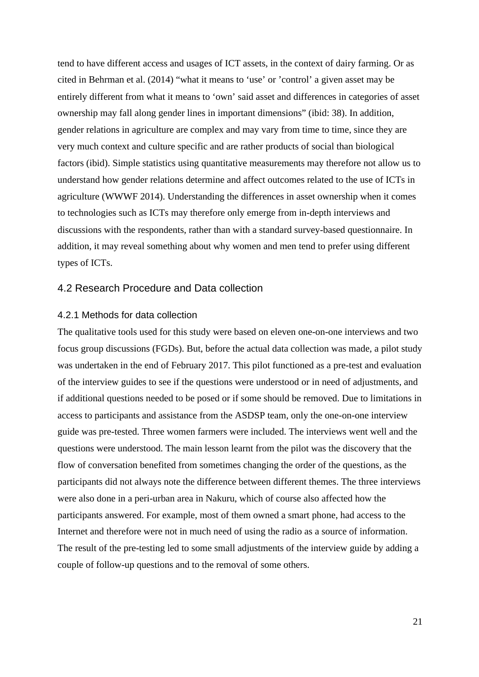tend to have different access and usages of ICT assets, in the context of dairy farming. Or as cited in Behrman et al. (2014) "what it means to 'use' or 'control' a given asset may be entirely different from what it means to 'own' said asset and differences in categories of asset ownership may fall along gender lines in important dimensions" (ibid: 38). In addition, gender relations in agriculture are complex and may vary from time to time, since they are very much context and culture specific and are rather products of social than biological factors (ibid). Simple statistics using quantitative measurements may therefore not allow us to understand how gender relations determine and affect outcomes related to the use of ICTs in agriculture (WWWF 2014). Understanding the differences in asset ownership when it comes to technologies such as ICTs may therefore only emerge from in-depth interviews and discussions with the respondents, rather than with a standard survey-based questionnaire. In addition, it may reveal something about why women and men tend to prefer using different types of ICTs.

#### 4.2 Research Procedure and Data collection

#### 4.2.1 Methods for data collection

The qualitative tools used for this study were based on eleven one-on-one interviews and two focus group discussions (FGDs). But, before the actual data collection was made, a pilot study was undertaken in the end of February 2017. This pilot functioned as a pre-test and evaluation of the interview guides to see if the questions were understood or in need of adjustments, and if additional questions needed to be posed or if some should be removed. Due to limitations in access to participants and assistance from the ASDSP team, only the one-on-one interview guide was pre-tested. Three women farmers were included. The interviews went well and the questions were understood. The main lesson learnt from the pilot was the discovery that the flow of conversation benefited from sometimes changing the order of the questions, as the participants did not always note the difference between different themes. The three interviews were also done in a peri-urban area in Nakuru, which of course also affected how the participants answered. For example, most of them owned a smart phone, had access to the Internet and therefore were not in much need of using the radio as a source of information. The result of the pre-testing led to some small adjustments of the interview guide by adding a couple of follow-up questions and to the removal of some others.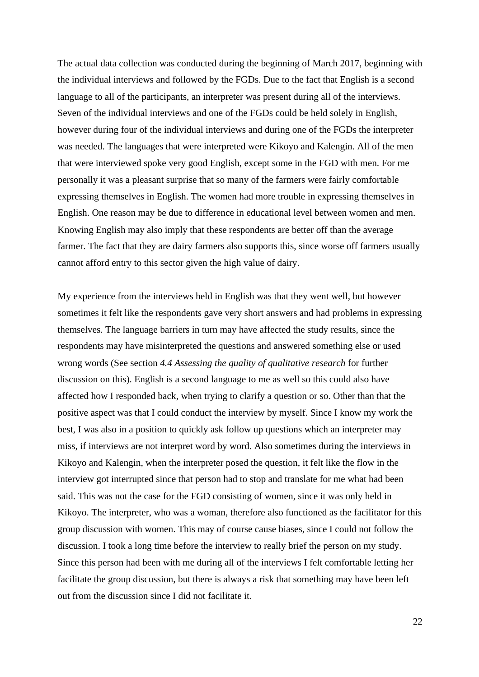The actual data collection was conducted during the beginning of March 2017, beginning with the individual interviews and followed by the FGDs. Due to the fact that English is a second language to all of the participants, an interpreter was present during all of the interviews. Seven of the individual interviews and one of the FGDs could be held solely in English, however during four of the individual interviews and during one of the FGDs the interpreter was needed. The languages that were interpreted were Kikoyo and Kalengin. All of the men that were interviewed spoke very good English, except some in the FGD with men. For me personally it was a pleasant surprise that so many of the farmers were fairly comfortable expressing themselves in English. The women had more trouble in expressing themselves in English. One reason may be due to difference in educational level between women and men. Knowing English may also imply that these respondents are better off than the average farmer. The fact that they are dairy farmers also supports this, since worse off farmers usually cannot afford entry to this sector given the high value of dairy.

My experience from the interviews held in English was that they went well, but however sometimes it felt like the respondents gave very short answers and had problems in expressing themselves. The language barriers in turn may have affected the study results, since the respondents may have misinterpreted the questions and answered something else or used wrong words (See section *4.4 Assessing the quality of qualitative research* for further discussion on this). English is a second language to me as well so this could also have affected how I responded back, when trying to clarify a question or so. Other than that the positive aspect was that I could conduct the interview by myself. Since I know my work the best, I was also in a position to quickly ask follow up questions which an interpreter may miss, if interviews are not interpret word by word. Also sometimes during the interviews in Kikoyo and Kalengin, when the interpreter posed the question, it felt like the flow in the interview got interrupted since that person had to stop and translate for me what had been said. This was not the case for the FGD consisting of women, since it was only held in Kikoyo. The interpreter, who was a woman, therefore also functioned as the facilitator for this group discussion with women. This may of course cause biases, since I could not follow the discussion. I took a long time before the interview to really brief the person on my study. Since this person had been with me during all of the interviews I felt comfortable letting her facilitate the group discussion, but there is always a risk that something may have been left out from the discussion since I did not facilitate it.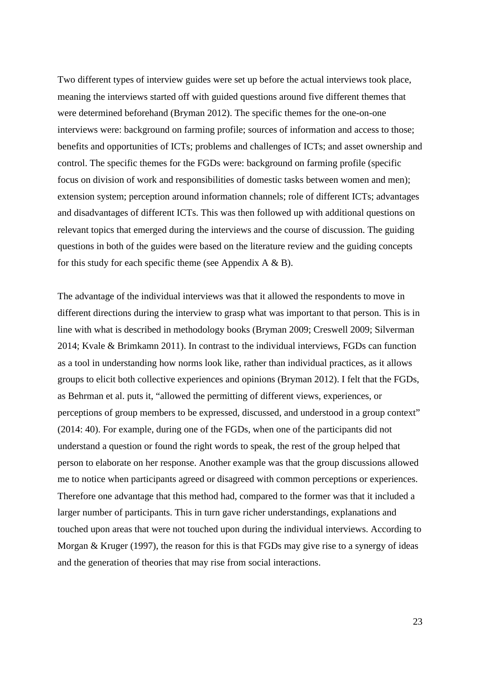Two different types of interview guides were set up before the actual interviews took place, meaning the interviews started off with guided questions around five different themes that were determined beforehand (Bryman 2012). The specific themes for the one-on-one interviews were: background on farming profile; sources of information and access to those; benefits and opportunities of ICTs; problems and challenges of ICTs; and asset ownership and control. The specific themes for the FGDs were: background on farming profile (specific focus on division of work and responsibilities of domestic tasks between women and men); extension system; perception around information channels; role of different ICTs; advantages and disadvantages of different ICTs. This was then followed up with additional questions on relevant topics that emerged during the interviews and the course of discussion. The guiding questions in both of the guides were based on the literature review and the guiding concepts for this study for each specific theme (see Appendix  $A \& B$ ).

The advantage of the individual interviews was that it allowed the respondents to move in different directions during the interview to grasp what was important to that person. This is in line with what is described in methodology books (Bryman 2009; Creswell 2009; Silverman 2014; Kvale & Brimkamn 2011). In contrast to the individual interviews, FGDs can function as a tool in understanding how norms look like, rather than individual practices, as it allows groups to elicit both collective experiences and opinions (Bryman 2012). I felt that the FGDs, as Behrman et al. puts it, "allowed the permitting of different views, experiences, or perceptions of group members to be expressed, discussed, and understood in a group context" (2014: 40). For example, during one of the FGDs, when one of the participants did not understand a question or found the right words to speak, the rest of the group helped that person to elaborate on her response. Another example was that the group discussions allowed me to notice when participants agreed or disagreed with common perceptions or experiences. Therefore one advantage that this method had, compared to the former was that it included a larger number of participants. This in turn gave richer understandings, explanations and touched upon areas that were not touched upon during the individual interviews. According to Morgan & Kruger (1997), the reason for this is that FGDs may give rise to a synergy of ideas and the generation of theories that may rise from social interactions.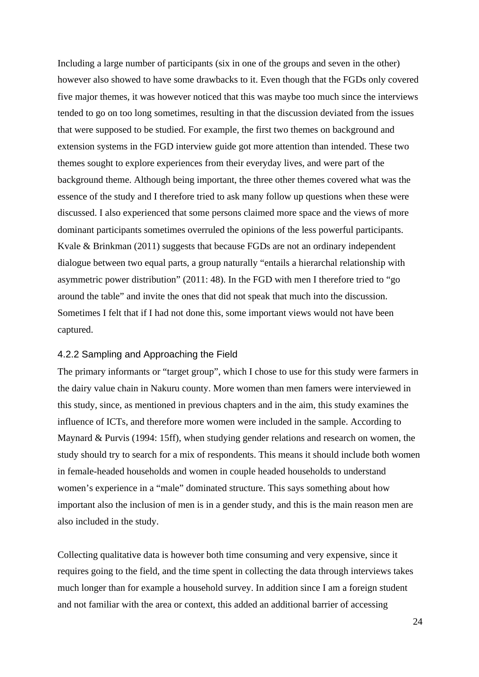Including a large number of participants (six in one of the groups and seven in the other) however also showed to have some drawbacks to it. Even though that the FGDs only covered five major themes, it was however noticed that this was maybe too much since the interviews tended to go on too long sometimes, resulting in that the discussion deviated from the issues that were supposed to be studied. For example, the first two themes on background and extension systems in the FGD interview guide got more attention than intended. These two themes sought to explore experiences from their everyday lives, and were part of the background theme. Although being important, the three other themes covered what was the essence of the study and I therefore tried to ask many follow up questions when these were discussed. I also experienced that some persons claimed more space and the views of more dominant participants sometimes overruled the opinions of the less powerful participants. Kvale & Brinkman (2011) suggests that because FGDs are not an ordinary independent dialogue between two equal parts, a group naturally "entails a hierarchal relationship with asymmetric power distribution" (2011: 48). In the FGD with men I therefore tried to "go around the table" and invite the ones that did not speak that much into the discussion. Sometimes I felt that if I had not done this, some important views would not have been captured.

#### 4.2.2 Sampling and Approaching the Field

The primary informants or "target group", which I chose to use for this study were farmers in the dairy value chain in Nakuru county. More women than men famers were interviewed in this study, since, as mentioned in previous chapters and in the aim, this study examines the influence of ICTs, and therefore more women were included in the sample. According to Maynard & Purvis (1994: 15ff), when studying gender relations and research on women, the study should try to search for a mix of respondents. This means it should include both women in female-headed households and women in couple headed households to understand women's experience in a "male" dominated structure. This says something about how important also the inclusion of men is in a gender study, and this is the main reason men are also included in the study.

Collecting qualitative data is however both time consuming and very expensive, since it requires going to the field, and the time spent in collecting the data through interviews takes much longer than for example a household survey. In addition since I am a foreign student and not familiar with the area or context, this added an additional barrier of accessing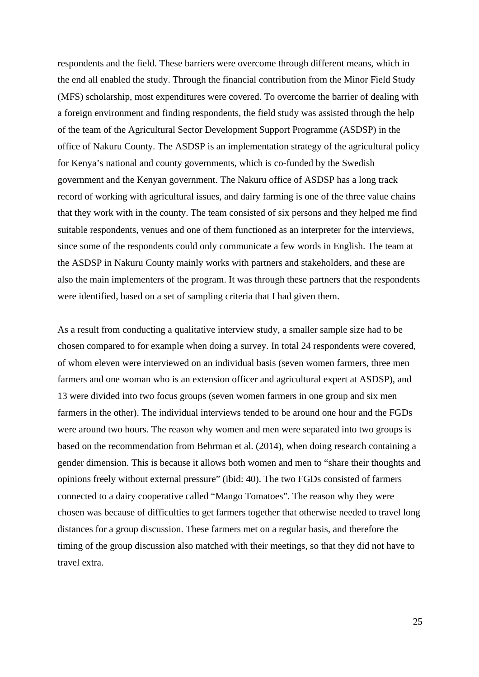respondents and the field. These barriers were overcome through different means, which in the end all enabled the study. Through the financial contribution from the Minor Field Study (MFS) scholarship, most expenditures were covered. To overcome the barrier of dealing with a foreign environment and finding respondents, the field study was assisted through the help of the team of the Agricultural Sector Development Support Programme (ASDSP) in the office of Nakuru County. The ASDSP is an implementation strategy of the agricultural policy for Kenya's national and county governments, which is co-funded by the Swedish government and the Kenyan government. The Nakuru office of ASDSP has a long track record of working with agricultural issues, and dairy farming is one of the three value chains that they work with in the county. The team consisted of six persons and they helped me find suitable respondents, venues and one of them functioned as an interpreter for the interviews, since some of the respondents could only communicate a few words in English. The team at the ASDSP in Nakuru County mainly works with partners and stakeholders, and these are also the main implementers of the program. It was through these partners that the respondents were identified, based on a set of sampling criteria that I had given them.

As a result from conducting a qualitative interview study, a smaller sample size had to be chosen compared to for example when doing a survey. In total 24 respondents were covered, of whom eleven were interviewed on an individual basis (seven women farmers, three men farmers and one woman who is an extension officer and agricultural expert at ASDSP), and 13 were divided into two focus groups (seven women farmers in one group and six men farmers in the other). The individual interviews tended to be around one hour and the FGDs were around two hours. The reason why women and men were separated into two groups is based on the recommendation from Behrman et al. (2014), when doing research containing a gender dimension. This is because it allows both women and men to "share their thoughts and opinions freely without external pressure" (ibid: 40). The two FGDs consisted of farmers connected to a dairy cooperative called "Mango Tomatoes". The reason why they were chosen was because of difficulties to get farmers together that otherwise needed to travel long distances for a group discussion. These farmers met on a regular basis, and therefore the timing of the group discussion also matched with their meetings, so that they did not have to travel extra.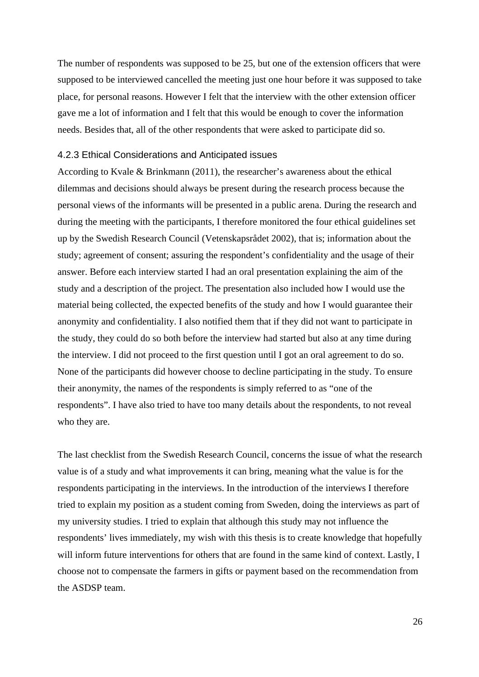The number of respondents was supposed to be 25, but one of the extension officers that were supposed to be interviewed cancelled the meeting just one hour before it was supposed to take place, for personal reasons. However I felt that the interview with the other extension officer gave me a lot of information and I felt that this would be enough to cover the information needs. Besides that, all of the other respondents that were asked to participate did so.

#### 4.2.3 Ethical Considerations and Anticipated issues

According to Kvale & Brinkmann (2011), the researcher's awareness about the ethical dilemmas and decisions should always be present during the research process because the personal views of the informants will be presented in a public arena. During the research and during the meeting with the participants, I therefore monitored the four ethical guidelines set up by the Swedish Research Council (Vetenskapsrådet 2002), that is; information about the study; agreement of consent; assuring the respondent's confidentiality and the usage of their answer. Before each interview started I had an oral presentation explaining the aim of the study and a description of the project. The presentation also included how I would use the material being collected, the expected benefits of the study and how I would guarantee their anonymity and confidentiality. I also notified them that if they did not want to participate in the study, they could do so both before the interview had started but also at any time during the interview. I did not proceed to the first question until I got an oral agreement to do so. None of the participants did however choose to decline participating in the study. To ensure their anonymity, the names of the respondents is simply referred to as "one of the respondents". I have also tried to have too many details about the respondents, to not reveal who they are.

The last checklist from the Swedish Research Council, concerns the issue of what the research value is of a study and what improvements it can bring, meaning what the value is for the respondents participating in the interviews. In the introduction of the interviews I therefore tried to explain my position as a student coming from Sweden, doing the interviews as part of my university studies. I tried to explain that although this study may not influence the respondents' lives immediately, my wish with this thesis is to create knowledge that hopefully will inform future interventions for others that are found in the same kind of context. Lastly, I choose not to compensate the farmers in gifts or payment based on the recommendation from the ASDSP team.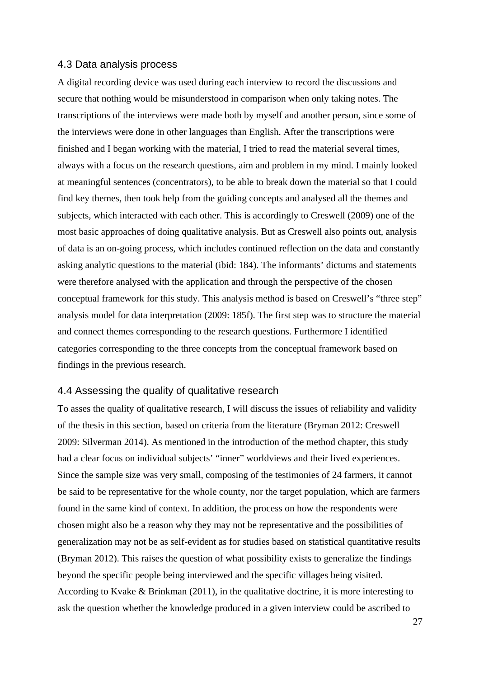#### 4.3 Data analysis process

A digital recording device was used during each interview to record the discussions and secure that nothing would be misunderstood in comparison when only taking notes. The transcriptions of the interviews were made both by myself and another person, since some of the interviews were done in other languages than English. After the transcriptions were finished and I began working with the material, I tried to read the material several times, always with a focus on the research questions, aim and problem in my mind. I mainly looked at meaningful sentences (concentrators), to be able to break down the material so that I could find key themes, then took help from the guiding concepts and analysed all the themes and subjects, which interacted with each other. This is accordingly to Creswell (2009) one of the most basic approaches of doing qualitative analysis. But as Creswell also points out, analysis of data is an on-going process, which includes continued reflection on the data and constantly asking analytic questions to the material (ibid: 184). The informants' dictums and statements were therefore analysed with the application and through the perspective of the chosen conceptual framework for this study. This analysis method is based on Creswell's "three step" analysis model for data interpretation (2009: 185f). The first step was to structure the material and connect themes corresponding to the research questions. Furthermore I identified categories corresponding to the three concepts from the conceptual framework based on findings in the previous research.

#### 4.4 Assessing the quality of qualitative research

To asses the quality of qualitative research, I will discuss the issues of reliability and validity of the thesis in this section, based on criteria from the literature (Bryman 2012: Creswell 2009: Silverman 2014). As mentioned in the introduction of the method chapter, this study had a clear focus on individual subjects' "inner" worldviews and their lived experiences. Since the sample size was very small, composing of the testimonies of 24 farmers, it cannot be said to be representative for the whole county, nor the target population, which are farmers found in the same kind of context. In addition, the process on how the respondents were chosen might also be a reason why they may not be representative and the possibilities of generalization may not be as self-evident as for studies based on statistical quantitative results (Bryman 2012). This raises the question of what possibility exists to generalize the findings beyond the specific people being interviewed and the specific villages being visited. According to Kvake & Brinkman (2011), in the qualitative doctrine, it is more interesting to ask the question whether the knowledge produced in a given interview could be ascribed to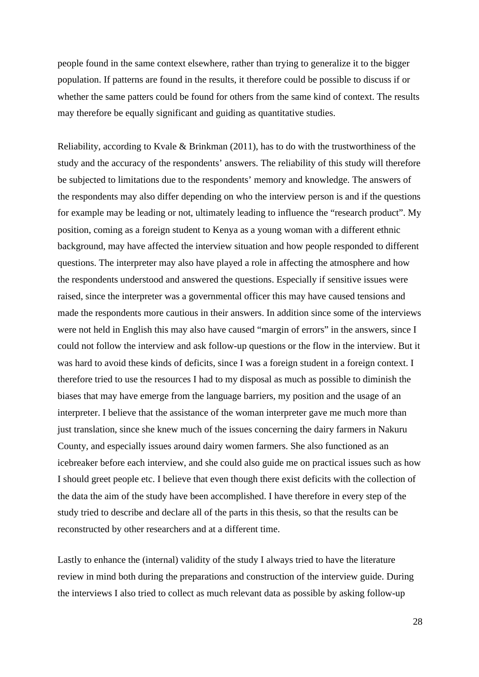people found in the same context elsewhere, rather than trying to generalize it to the bigger population. If patterns are found in the results, it therefore could be possible to discuss if or whether the same patters could be found for others from the same kind of context. The results may therefore be equally significant and guiding as quantitative studies.

Reliability, according to Kvale & Brinkman (2011), has to do with the trustworthiness of the study and the accuracy of the respondents' answers. The reliability of this study will therefore be subjected to limitations due to the respondents' memory and knowledge. The answers of the respondents may also differ depending on who the interview person is and if the questions for example may be leading or not, ultimately leading to influence the "research product". My position, coming as a foreign student to Kenya as a young woman with a different ethnic background, may have affected the interview situation and how people responded to different questions. The interpreter may also have played a role in affecting the atmosphere and how the respondents understood and answered the questions. Especially if sensitive issues were raised, since the interpreter was a governmental officer this may have caused tensions and made the respondents more cautious in their answers. In addition since some of the interviews were not held in English this may also have caused "margin of errors" in the answers, since I could not follow the interview and ask follow-up questions or the flow in the interview. But it was hard to avoid these kinds of deficits, since I was a foreign student in a foreign context. I therefore tried to use the resources I had to my disposal as much as possible to diminish the biases that may have emerge from the language barriers, my position and the usage of an interpreter. I believe that the assistance of the woman interpreter gave me much more than just translation, since she knew much of the issues concerning the dairy farmers in Nakuru County, and especially issues around dairy women farmers. She also functioned as an icebreaker before each interview, and she could also guide me on practical issues such as how I should greet people etc. I believe that even though there exist deficits with the collection of the data the aim of the study have been accomplished. I have therefore in every step of the study tried to describe and declare all of the parts in this thesis, so that the results can be reconstructed by other researchers and at a different time.

Lastly to enhance the (internal) validity of the study I always tried to have the literature review in mind both during the preparations and construction of the interview guide. During the interviews I also tried to collect as much relevant data as possible by asking follow-up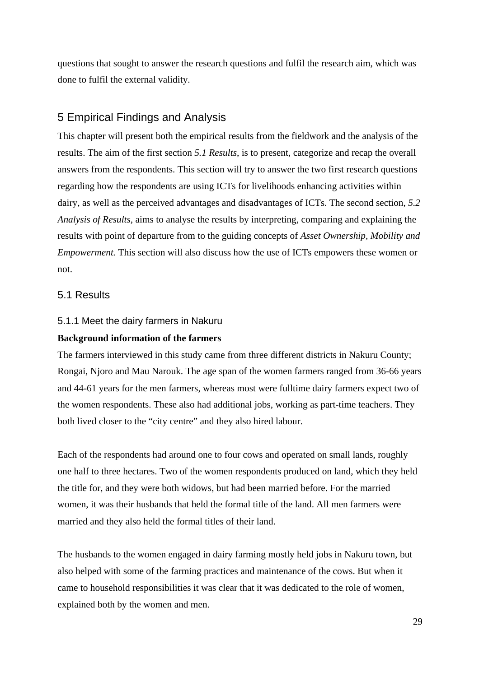questions that sought to answer the research questions and fulfil the research aim, which was done to fulfil the external validity.

## 5 Empirical Findings and Analysis

This chapter will present both the empirical results from the fieldwork and the analysis of the results. The aim of the first section *5.1 Results*, is to present, categorize and recap the overall answers from the respondents. This section will try to answer the two first research questions regarding how the respondents are using ICTs for livelihoods enhancing activities within dairy, as well as the perceived advantages and disadvantages of ICTs. The second section, *5.2 Analysis of Results*, aims to analyse the results by interpreting, comparing and explaining the results with point of departure from to the guiding concepts of *Asset Ownership, Mobility and Empowerment*. This section will also discuss how the use of ICTs empowers these women or not.

## 5.1 Results

#### 5.1.1 Meet the dairy farmers in Nakuru

#### **Background information of the farmers**

The farmers interviewed in this study came from three different districts in Nakuru County; Rongai, Njoro and Mau Narouk. The age span of the women farmers ranged from 36-66 years and 44-61 years for the men farmers, whereas most were fulltime dairy farmers expect two of the women respondents. These also had additional jobs, working as part-time teachers. They both lived closer to the "city centre" and they also hired labour.

Each of the respondents had around one to four cows and operated on small lands, roughly one half to three hectares. Two of the women respondents produced on land, which they held the title for, and they were both widows, but had been married before. For the married women, it was their husbands that held the formal title of the land. All men farmers were married and they also held the formal titles of their land.

The husbands to the women engaged in dairy farming mostly held jobs in Nakuru town, but also helped with some of the farming practices and maintenance of the cows. But when it came to household responsibilities it was clear that it was dedicated to the role of women, explained both by the women and men.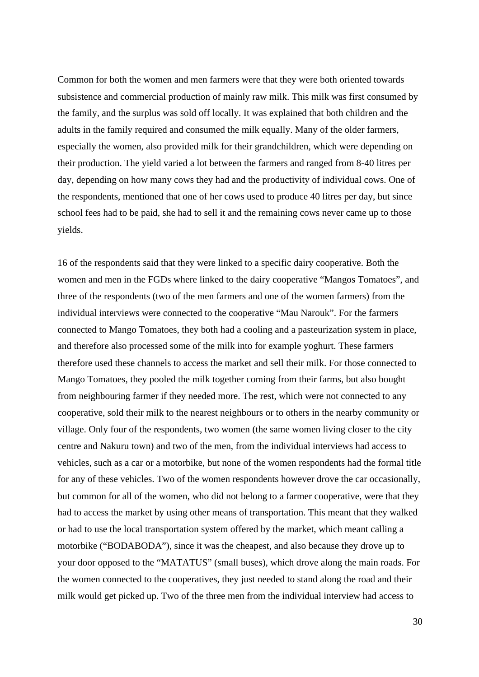Common for both the women and men farmers were that they were both oriented towards subsistence and commercial production of mainly raw milk. This milk was first consumed by the family, and the surplus was sold off locally. It was explained that both children and the adults in the family required and consumed the milk equally. Many of the older farmers, especially the women, also provided milk for their grandchildren, which were depending on their production. The yield varied a lot between the farmers and ranged from 8-40 litres per day, depending on how many cows they had and the productivity of individual cows. One of the respondents, mentioned that one of her cows used to produce 40 litres per day, but since school fees had to be paid, she had to sell it and the remaining cows never came up to those yields.

16 of the respondents said that they were linked to a specific dairy cooperative. Both the women and men in the FGDs where linked to the dairy cooperative "Mangos Tomatoes", and three of the respondents (two of the men farmers and one of the women farmers) from the individual interviews were connected to the cooperative "Mau Narouk". For the farmers connected to Mango Tomatoes, they both had a cooling and a pasteurization system in place, and therefore also processed some of the milk into for example yoghurt. These farmers therefore used these channels to access the market and sell their milk. For those connected to Mango Tomatoes, they pooled the milk together coming from their farms, but also bought from neighbouring farmer if they needed more. The rest, which were not connected to any cooperative, sold their milk to the nearest neighbours or to others in the nearby community or village. Only four of the respondents, two women (the same women living closer to the city centre and Nakuru town) and two of the men, from the individual interviews had access to vehicles, such as a car or a motorbike, but none of the women respondents had the formal title for any of these vehicles. Two of the women respondents however drove the car occasionally, but common for all of the women, who did not belong to a farmer cooperative, were that they had to access the market by using other means of transportation. This meant that they walked or had to use the local transportation system offered by the market, which meant calling a motorbike ("BODABODA"), since it was the cheapest, and also because they drove up to your door opposed to the "MATATUS" (small buses), which drove along the main roads. For the women connected to the cooperatives, they just needed to stand along the road and their milk would get picked up. Two of the three men from the individual interview had access to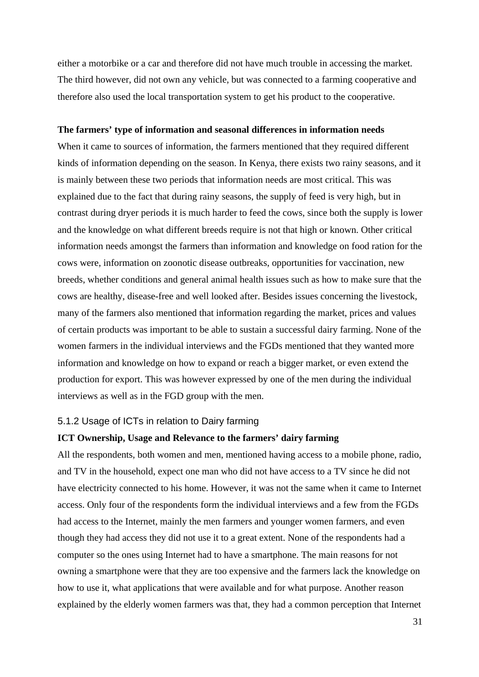either a motorbike or a car and therefore did not have much trouble in accessing the market. The third however, did not own any vehicle, but was connected to a farming cooperative and therefore also used the local transportation system to get his product to the cooperative.

#### **The farmers' type of information and seasonal differences in information needs**

When it came to sources of information, the farmers mentioned that they required different kinds of information depending on the season. In Kenya, there exists two rainy seasons, and it is mainly between these two periods that information needs are most critical. This was explained due to the fact that during rainy seasons, the supply of feed is very high, but in contrast during dryer periods it is much harder to feed the cows, since both the supply is lower and the knowledge on what different breeds require is not that high or known. Other critical information needs amongst the farmers than information and knowledge on food ration for the cows were, information on zoonotic disease outbreaks, opportunities for vaccination, new breeds, whether conditions and general animal health issues such as how to make sure that the cows are healthy, disease-free and well looked after. Besides issues concerning the livestock, many of the farmers also mentioned that information regarding the market, prices and values of certain products was important to be able to sustain a successful dairy farming. None of the women farmers in the individual interviews and the FGDs mentioned that they wanted more information and knowledge on how to expand or reach a bigger market, or even extend the production for export. This was however expressed by one of the men during the individual interviews as well as in the FGD group with the men.

#### 5.1.2 Usage of ICTs in relation to Dairy farming

#### **ICT Ownership, Usage and Relevance to the farmers' dairy farming**

All the respondents, both women and men, mentioned having access to a mobile phone, radio, and TV in the household, expect one man who did not have access to a TV since he did not have electricity connected to his home. However, it was not the same when it came to Internet access. Only four of the respondents form the individual interviews and a few from the FGDs had access to the Internet, mainly the men farmers and younger women farmers, and even though they had access they did not use it to a great extent. None of the respondents had a computer so the ones using Internet had to have a smartphone. The main reasons for not owning a smartphone were that they are too expensive and the farmers lack the knowledge on how to use it, what applications that were available and for what purpose. Another reason explained by the elderly women farmers was that, they had a common perception that Internet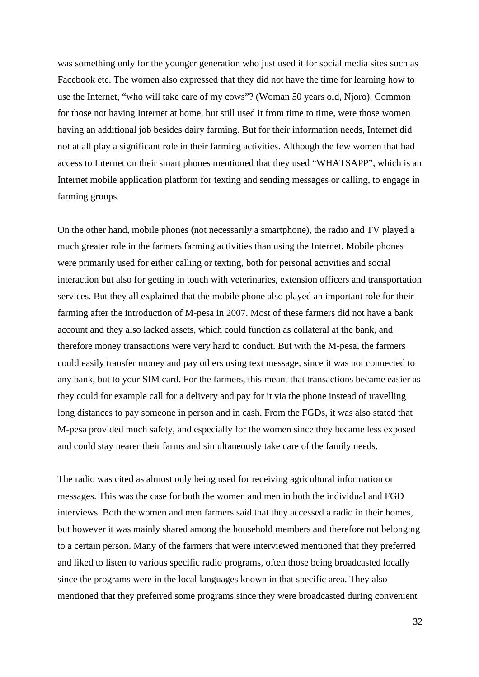was something only for the younger generation who just used it for social media sites such as Facebook etc. The women also expressed that they did not have the time for learning how to use the Internet, "who will take care of my cows"? (Woman 50 years old, Njoro). Common for those not having Internet at home, but still used it from time to time, were those women having an additional job besides dairy farming. But for their information needs, Internet did not at all play a significant role in their farming activities. Although the few women that had access to Internet on their smart phones mentioned that they used "WHATSAPP", which is an Internet mobile application platform for texting and sending messages or calling, to engage in farming groups.

On the other hand, mobile phones (not necessarily a smartphone), the radio and TV played a much greater role in the farmers farming activities than using the Internet. Mobile phones were primarily used for either calling or texting, both for personal activities and social interaction but also for getting in touch with veterinaries, extension officers and transportation services. But they all explained that the mobile phone also played an important role for their farming after the introduction of M-pesa in 2007. Most of these farmers did not have a bank account and they also lacked assets, which could function as collateral at the bank, and therefore money transactions were very hard to conduct. But with the M-pesa, the farmers could easily transfer money and pay others using text message, since it was not connected to any bank, but to your SIM card. For the farmers, this meant that transactions became easier as they could for example call for a delivery and pay for it via the phone instead of travelling long distances to pay someone in person and in cash. From the FGDs, it was also stated that M-pesa provided much safety, and especially for the women since they became less exposed and could stay nearer their farms and simultaneously take care of the family needs.

The radio was cited as almost only being used for receiving agricultural information or messages. This was the case for both the women and men in both the individual and FGD interviews. Both the women and men farmers said that they accessed a radio in their homes, but however it was mainly shared among the household members and therefore not belonging to a certain person. Many of the farmers that were interviewed mentioned that they preferred and liked to listen to various specific radio programs, often those being broadcasted locally since the programs were in the local languages known in that specific area. They also mentioned that they preferred some programs since they were broadcasted during convenient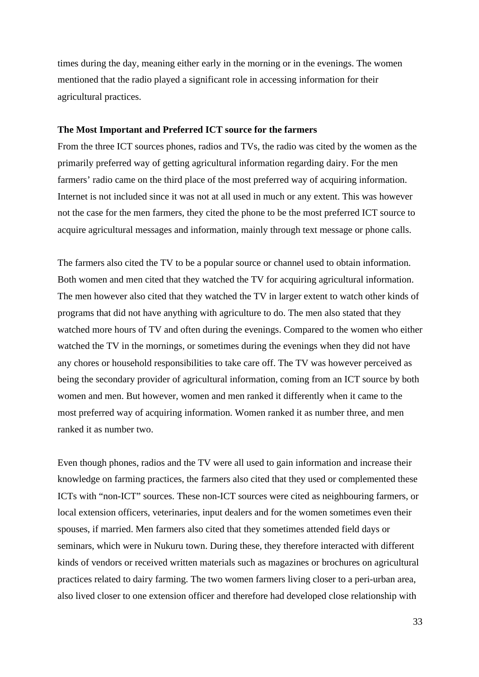times during the day, meaning either early in the morning or in the evenings. The women mentioned that the radio played a significant role in accessing information for their agricultural practices.

#### **The Most Important and Preferred ICT source for the farmers**

From the three ICT sources phones, radios and TVs, the radio was cited by the women as the primarily preferred way of getting agricultural information regarding dairy. For the men farmers' radio came on the third place of the most preferred way of acquiring information. Internet is not included since it was not at all used in much or any extent. This was however not the case for the men farmers, they cited the phone to be the most preferred ICT source to acquire agricultural messages and information, mainly through text message or phone calls.

The farmers also cited the TV to be a popular source or channel used to obtain information. Both women and men cited that they watched the TV for acquiring agricultural information. The men however also cited that they watched the TV in larger extent to watch other kinds of programs that did not have anything with agriculture to do. The men also stated that they watched more hours of TV and often during the evenings. Compared to the women who either watched the TV in the mornings, or sometimes during the evenings when they did not have any chores or household responsibilities to take care off. The TV was however perceived as being the secondary provider of agricultural information, coming from an ICT source by both women and men. But however, women and men ranked it differently when it came to the most preferred way of acquiring information. Women ranked it as number three, and men ranked it as number two.

Even though phones, radios and the TV were all used to gain information and increase their knowledge on farming practices, the farmers also cited that they used or complemented these ICTs with "non-ICT" sources. These non-ICT sources were cited as neighbouring farmers, or local extension officers, veterinaries, input dealers and for the women sometimes even their spouses, if married. Men farmers also cited that they sometimes attended field days or seminars, which were in Nukuru town. During these, they therefore interacted with different kinds of vendors or received written materials such as magazines or brochures on agricultural practices related to dairy farming. The two women farmers living closer to a peri-urban area, also lived closer to one extension officer and therefore had developed close relationship with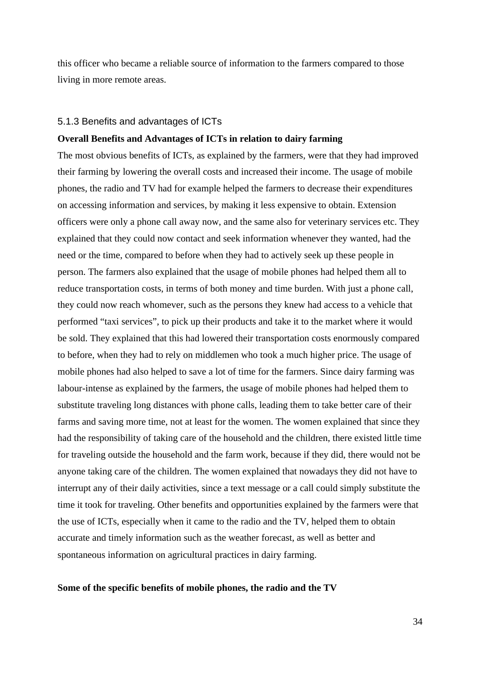this officer who became a reliable source of information to the farmers compared to those living in more remote areas.

#### 5.1.3 Benefits and advantages of ICTs

#### **Overall Benefits and Advantages of ICTs in relation to dairy farming**

The most obvious benefits of ICTs, as explained by the farmers, were that they had improved their farming by lowering the overall costs and increased their income. The usage of mobile phones, the radio and TV had for example helped the farmers to decrease their expenditures on accessing information and services, by making it less expensive to obtain. Extension officers were only a phone call away now, and the same also for veterinary services etc. They explained that they could now contact and seek information whenever they wanted, had the need or the time, compared to before when they had to actively seek up these people in person. The farmers also explained that the usage of mobile phones had helped them all to reduce transportation costs, in terms of both money and time burden. With just a phone call, they could now reach whomever, such as the persons they knew had access to a vehicle that performed "taxi services", to pick up their products and take it to the market where it would be sold. They explained that this had lowered their transportation costs enormously compared to before, when they had to rely on middlemen who took a much higher price. The usage of mobile phones had also helped to save a lot of time for the farmers. Since dairy farming was labour-intense as explained by the farmers, the usage of mobile phones had helped them to substitute traveling long distances with phone calls, leading them to take better care of their farms and saving more time, not at least for the women. The women explained that since they had the responsibility of taking care of the household and the children, there existed little time for traveling outside the household and the farm work, because if they did, there would not be anyone taking care of the children. The women explained that nowadays they did not have to interrupt any of their daily activities, since a text message or a call could simply substitute the time it took for traveling. Other benefits and opportunities explained by the farmers were that the use of ICTs, especially when it came to the radio and the TV, helped them to obtain accurate and timely information such as the weather forecast, as well as better and spontaneous information on agricultural practices in dairy farming.

#### **Some of the specific benefits of mobile phones, the radio and the TV**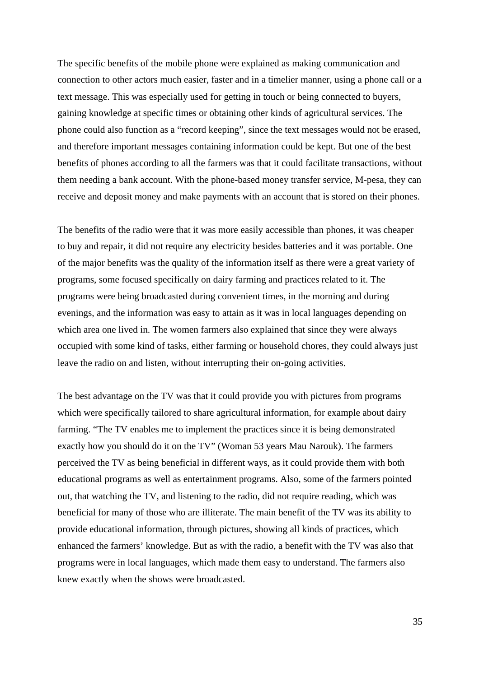The specific benefits of the mobile phone were explained as making communication and connection to other actors much easier, faster and in a timelier manner, using a phone call or a text message. This was especially used for getting in touch or being connected to buyers, gaining knowledge at specific times or obtaining other kinds of agricultural services. The phone could also function as a "record keeping", since the text messages would not be erased, and therefore important messages containing information could be kept. But one of the best benefits of phones according to all the farmers was that it could facilitate transactions, without them needing a bank account. With the phone-based money transfer service, M-pesa, they can receive and deposit money and make payments with an account that is stored on their phones.

The benefits of the radio were that it was more easily accessible than phones, it was cheaper to buy and repair, it did not require any electricity besides batteries and it was portable. One of the major benefits was the quality of the information itself as there were a great variety of programs, some focused specifically on dairy farming and practices related to it. The programs were being broadcasted during convenient times, in the morning and during evenings, and the information was easy to attain as it was in local languages depending on which area one lived in. The women farmers also explained that since they were always occupied with some kind of tasks, either farming or household chores, they could always just leave the radio on and listen, without interrupting their on-going activities.

The best advantage on the TV was that it could provide you with pictures from programs which were specifically tailored to share agricultural information, for example about dairy farming. "The TV enables me to implement the practices since it is being demonstrated exactly how you should do it on the TV" (Woman 53 years Mau Narouk). The farmers perceived the TV as being beneficial in different ways, as it could provide them with both educational programs as well as entertainment programs. Also, some of the farmers pointed out, that watching the TV, and listening to the radio, did not require reading, which was beneficial for many of those who are illiterate. The main benefit of the TV was its ability to provide educational information, through pictures, showing all kinds of practices, which enhanced the farmers' knowledge. But as with the radio, a benefit with the TV was also that programs were in local languages, which made them easy to understand. The farmers also knew exactly when the shows were broadcasted.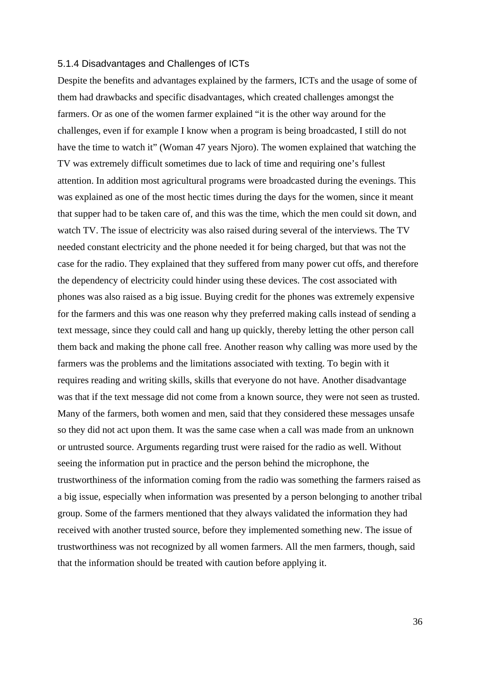#### 5.1.4 Disadvantages and Challenges of ICTs

Despite the benefits and advantages explained by the farmers, ICTs and the usage of some of them had drawbacks and specific disadvantages, which created challenges amongst the farmers. Or as one of the women farmer explained "it is the other way around for the challenges, even if for example I know when a program is being broadcasted, I still do not have the time to watch it" (Woman 47 years Njoro). The women explained that watching the TV was extremely difficult sometimes due to lack of time and requiring one's fullest attention. In addition most agricultural programs were broadcasted during the evenings. This was explained as one of the most hectic times during the days for the women, since it meant that supper had to be taken care of, and this was the time, which the men could sit down, and watch TV. The issue of electricity was also raised during several of the interviews. The TV needed constant electricity and the phone needed it for being charged, but that was not the case for the radio. They explained that they suffered from many power cut offs, and therefore the dependency of electricity could hinder using these devices. The cost associated with phones was also raised as a big issue. Buying credit for the phones was extremely expensive for the farmers and this was one reason why they preferred making calls instead of sending a text message, since they could call and hang up quickly, thereby letting the other person call them back and making the phone call free. Another reason why calling was more used by the farmers was the problems and the limitations associated with texting. To begin with it requires reading and writing skills, skills that everyone do not have. Another disadvantage was that if the text message did not come from a known source, they were not seen as trusted. Many of the farmers, both women and men, said that they considered these messages unsafe so they did not act upon them. It was the same case when a call was made from an unknown or untrusted source. Arguments regarding trust were raised for the radio as well. Without seeing the information put in practice and the person behind the microphone, the trustworthiness of the information coming from the radio was something the farmers raised as a big issue, especially when information was presented by a person belonging to another tribal group. Some of the farmers mentioned that they always validated the information they had received with another trusted source, before they implemented something new. The issue of trustworthiness was not recognized by all women farmers. All the men farmers, though, said that the information should be treated with caution before applying it.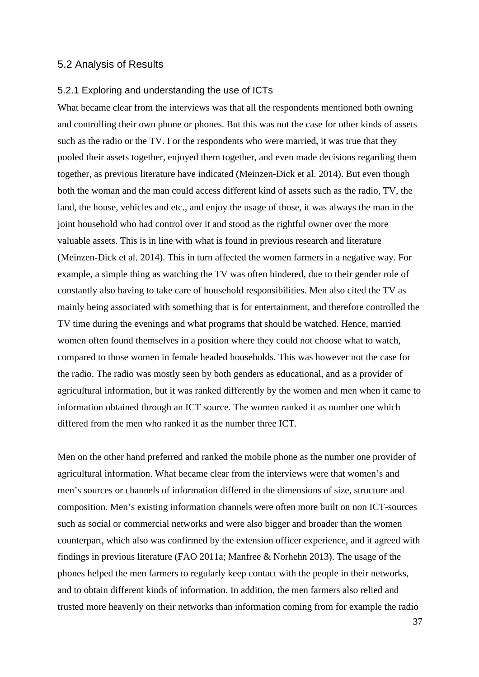#### 5.2 Analysis of Results

#### 5.2.1 Exploring and understanding the use of ICTs

What became clear from the interviews was that all the respondents mentioned both owning and controlling their own phone or phones. But this was not the case for other kinds of assets such as the radio or the TV. For the respondents who were married, it was true that they pooled their assets together, enjoyed them together, and even made decisions regarding them together, as previous literature have indicated (Meinzen-Dick et al. 2014). But even though both the woman and the man could access different kind of assets such as the radio, TV, the land, the house, vehicles and etc., and enjoy the usage of those, it was always the man in the joint household who had control over it and stood as the rightful owner over the more valuable assets. This is in line with what is found in previous research and literature (Meinzen-Dick et al. 2014). This in turn affected the women farmers in a negative way. For example, a simple thing as watching the TV was often hindered, due to their gender role of constantly also having to take care of household responsibilities. Men also cited the TV as mainly being associated with something that is for entertainment, and therefore controlled the TV time during the evenings and what programs that should be watched. Hence, married women often found themselves in a position where they could not choose what to watch, compared to those women in female headed households. This was however not the case for the radio. The radio was mostly seen by both genders as educational, and as a provider of agricultural information, but it was ranked differently by the women and men when it came to information obtained through an ICT source. The women ranked it as number one which differed from the men who ranked it as the number three ICT.

Men on the other hand preferred and ranked the mobile phone as the number one provider of agricultural information. What became clear from the interviews were that women's and men's sources or channels of information differed in the dimensions of size, structure and composition. Men's existing information channels were often more built on non ICT-sources such as social or commercial networks and were also bigger and broader than the women counterpart, which also was confirmed by the extension officer experience, and it agreed with findings in previous literature (FAO 2011a; Manfree & Norhehn 2013). The usage of the phones helped the men farmers to regularly keep contact with the people in their networks, and to obtain different kinds of information. In addition, the men farmers also relied and trusted more heavenly on their networks than information coming from for example the radio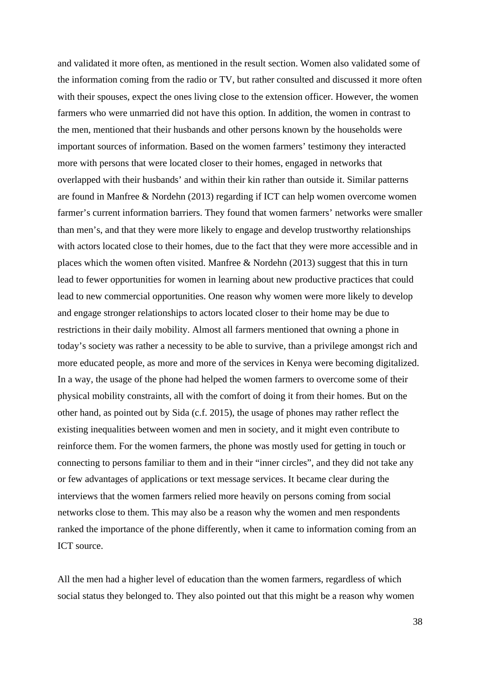and validated it more often, as mentioned in the result section. Women also validated some of the information coming from the radio or TV, but rather consulted and discussed it more often with their spouses, expect the ones living close to the extension officer. However, the women farmers who were unmarried did not have this option. In addition, the women in contrast to the men, mentioned that their husbands and other persons known by the households were important sources of information. Based on the women farmers' testimony they interacted more with persons that were located closer to their homes, engaged in networks that overlapped with their husbands' and within their kin rather than outside it. Similar patterns are found in Manfree & Nordehn (2013) regarding if ICT can help women overcome women farmer's current information barriers. They found that women farmers' networks were smaller than men's, and that they were more likely to engage and develop trustworthy relationships with actors located close to their homes, due to the fact that they were more accessible and in places which the women often visited. Manfree & Nordehn (2013) suggest that this in turn lead to fewer opportunities for women in learning about new productive practices that could lead to new commercial opportunities. One reason why women were more likely to develop and engage stronger relationships to actors located closer to their home may be due to restrictions in their daily mobility. Almost all farmers mentioned that owning a phone in today's society was rather a necessity to be able to survive, than a privilege amongst rich and more educated people, as more and more of the services in Kenya were becoming digitalized. In a way, the usage of the phone had helped the women farmers to overcome some of their physical mobility constraints, all with the comfort of doing it from their homes. But on the other hand, as pointed out by Sida (c.f. 2015), the usage of phones may rather reflect the existing inequalities between women and men in society, and it might even contribute to reinforce them. For the women farmers, the phone was mostly used for getting in touch or connecting to persons familiar to them and in their "inner circles", and they did not take any or few advantages of applications or text message services. It became clear during the interviews that the women farmers relied more heavily on persons coming from social networks close to them. This may also be a reason why the women and men respondents ranked the importance of the phone differently, when it came to information coming from an ICT source.

All the men had a higher level of education than the women farmers, regardless of which social status they belonged to. They also pointed out that this might be a reason why women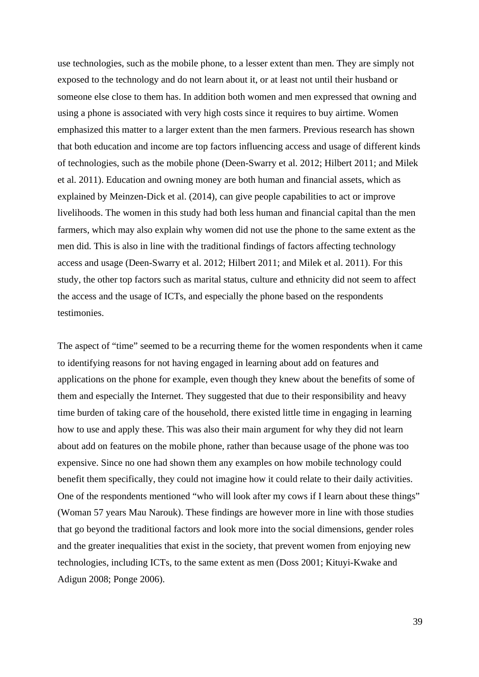use technologies, such as the mobile phone, to a lesser extent than men. They are simply not exposed to the technology and do not learn about it, or at least not until their husband or someone else close to them has. In addition both women and men expressed that owning and using a phone is associated with very high costs since it requires to buy airtime. Women emphasized this matter to a larger extent than the men farmers. Previous research has shown that both education and income are top factors influencing access and usage of different kinds of technologies, such as the mobile phone (Deen-Swarry et al. 2012; Hilbert 2011; and Milek et al. 2011). Education and owning money are both human and financial assets, which as explained by Meinzen-Dick et al. (2014), can give people capabilities to act or improve livelihoods. The women in this study had both less human and financial capital than the men farmers, which may also explain why women did not use the phone to the same extent as the men did. This is also in line with the traditional findings of factors affecting technology access and usage (Deen-Swarry et al. 2012; Hilbert 2011; and Milek et al. 2011). For this study, the other top factors such as marital status, culture and ethnicity did not seem to affect the access and the usage of ICTs, and especially the phone based on the respondents testimonies.

The aspect of "time" seemed to be a recurring theme for the women respondents when it came to identifying reasons for not having engaged in learning about add on features and applications on the phone for example, even though they knew about the benefits of some of them and especially the Internet. They suggested that due to their responsibility and heavy time burden of taking care of the household, there existed little time in engaging in learning how to use and apply these. This was also their main argument for why they did not learn about add on features on the mobile phone, rather than because usage of the phone was too expensive. Since no one had shown them any examples on how mobile technology could benefit them specifically, they could not imagine how it could relate to their daily activities. One of the respondents mentioned "who will look after my cows if I learn about these things" (Woman 57 years Mau Narouk). These findings are however more in line with those studies that go beyond the traditional factors and look more into the social dimensions, gender roles and the greater inequalities that exist in the society, that prevent women from enjoying new technologies, including ICTs, to the same extent as men (Doss 2001; Kituyi-Kwake and Adigun 2008; Ponge 2006).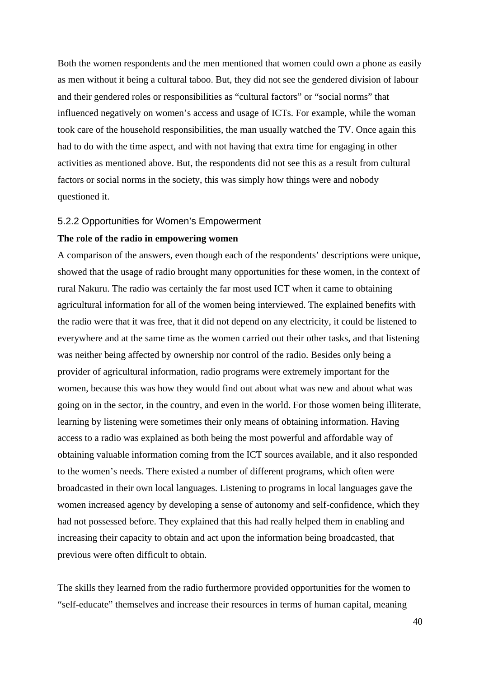Both the women respondents and the men mentioned that women could own a phone as easily as men without it being a cultural taboo. But, they did not see the gendered division of labour and their gendered roles or responsibilities as "cultural factors" or "social norms" that influenced negatively on women's access and usage of ICTs. For example, while the woman took care of the household responsibilities, the man usually watched the TV. Once again this had to do with the time aspect, and with not having that extra time for engaging in other activities as mentioned above. But, the respondents did not see this as a result from cultural factors or social norms in the society, this was simply how things were and nobody questioned it.

#### 5.2.2 Opportunities for Women's Empowerment

#### **The role of the radio in empowering women**

A comparison of the answers, even though each of the respondents' descriptions were unique, showed that the usage of radio brought many opportunities for these women, in the context of rural Nakuru. The radio was certainly the far most used ICT when it came to obtaining agricultural information for all of the women being interviewed. The explained benefits with the radio were that it was free, that it did not depend on any electricity, it could be listened to everywhere and at the same time as the women carried out their other tasks, and that listening was neither being affected by ownership nor control of the radio. Besides only being a provider of agricultural information, radio programs were extremely important for the women, because this was how they would find out about what was new and about what was going on in the sector, in the country, and even in the world. For those women being illiterate, learning by listening were sometimes their only means of obtaining information. Having access to a radio was explained as both being the most powerful and affordable way of obtaining valuable information coming from the ICT sources available, and it also responded to the women's needs. There existed a number of different programs, which often were broadcasted in their own local languages. Listening to programs in local languages gave the women increased agency by developing a sense of autonomy and self-confidence, which they had not possessed before. They explained that this had really helped them in enabling and increasing their capacity to obtain and act upon the information being broadcasted, that previous were often difficult to obtain.

The skills they learned from the radio furthermore provided opportunities for the women to "self-educate" themselves and increase their resources in terms of human capital, meaning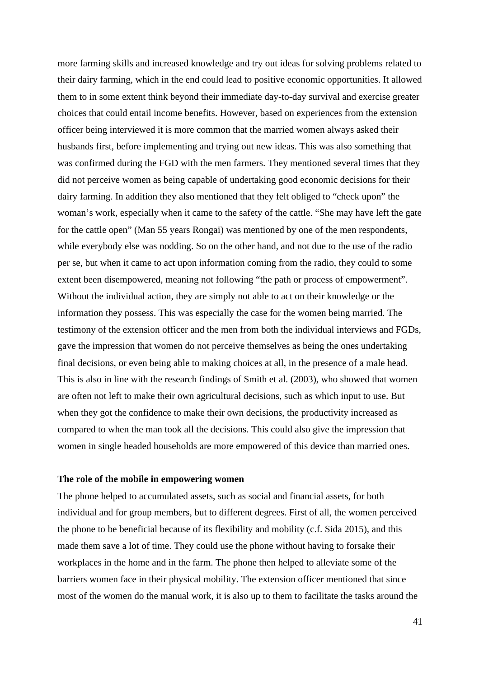more farming skills and increased knowledge and try out ideas for solving problems related to their dairy farming, which in the end could lead to positive economic opportunities. It allowed them to in some extent think beyond their immediate day-to-day survival and exercise greater choices that could entail income benefits. However, based on experiences from the extension officer being interviewed it is more common that the married women always asked their husbands first, before implementing and trying out new ideas. This was also something that was confirmed during the FGD with the men farmers. They mentioned several times that they did not perceive women as being capable of undertaking good economic decisions for their dairy farming. In addition they also mentioned that they felt obliged to "check upon" the woman's work, especially when it came to the safety of the cattle. "She may have left the gate for the cattle open" (Man 55 years Rongai) was mentioned by one of the men respondents, while everybody else was nodding. So on the other hand, and not due to the use of the radio per se, but when it came to act upon information coming from the radio, they could to some extent been disempowered, meaning not following "the path or process of empowerment". Without the individual action, they are simply not able to act on their knowledge or the information they possess. This was especially the case for the women being married. The testimony of the extension officer and the men from both the individual interviews and FGDs, gave the impression that women do not perceive themselves as being the ones undertaking final decisions, or even being able to making choices at all, in the presence of a male head. This is also in line with the research findings of Smith et al. (2003), who showed that women are often not left to make their own agricultural decisions, such as which input to use. But when they got the confidence to make their own decisions, the productivity increased as compared to when the man took all the decisions. This could also give the impression that women in single headed households are more empowered of this device than married ones.

#### **The role of the mobile in empowering women**

The phone helped to accumulated assets, such as social and financial assets, for both individual and for group members, but to different degrees. First of all, the women perceived the phone to be beneficial because of its flexibility and mobility (c.f. Sida 2015), and this made them save a lot of time. They could use the phone without having to forsake their workplaces in the home and in the farm. The phone then helped to alleviate some of the barriers women face in their physical mobility. The extension officer mentioned that since most of the women do the manual work, it is also up to them to facilitate the tasks around the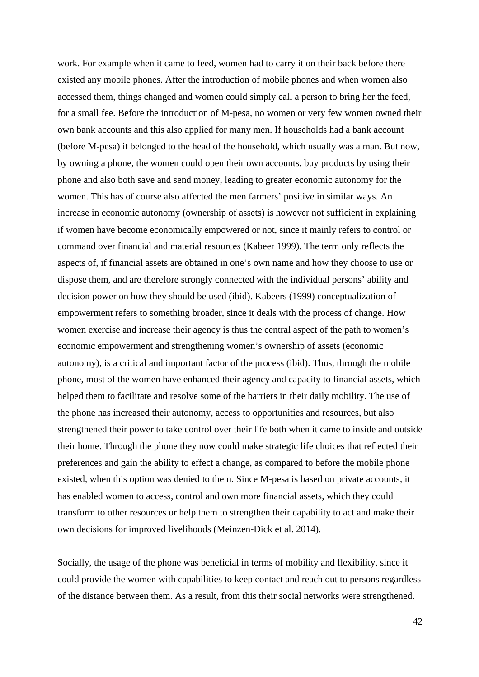work. For example when it came to feed, women had to carry it on their back before there existed any mobile phones. After the introduction of mobile phones and when women also accessed them, things changed and women could simply call a person to bring her the feed, for a small fee. Before the introduction of M-pesa, no women or very few women owned their own bank accounts and this also applied for many men. If households had a bank account (before M-pesa) it belonged to the head of the household, which usually was a man. But now, by owning a phone, the women could open their own accounts, buy products by using their phone and also both save and send money, leading to greater economic autonomy for the women. This has of course also affected the men farmers' positive in similar ways. An increase in economic autonomy (ownership of assets) is however not sufficient in explaining if women have become economically empowered or not, since it mainly refers to control or command over financial and material resources (Kabeer 1999). The term only reflects the aspects of, if financial assets are obtained in one's own name and how they choose to use or dispose them, and are therefore strongly connected with the individual persons' ability and decision power on how they should be used (ibid). Kabeers (1999) conceptualization of empowerment refers to something broader, since it deals with the process of change. How women exercise and increase their agency is thus the central aspect of the path to women's economic empowerment and strengthening women's ownership of assets (economic autonomy), is a critical and important factor of the process (ibid). Thus, through the mobile phone, most of the women have enhanced their agency and capacity to financial assets, which helped them to facilitate and resolve some of the barriers in their daily mobility. The use of the phone has increased their autonomy, access to opportunities and resources, but also strengthened their power to take control over their life both when it came to inside and outside their home. Through the phone they now could make strategic life choices that reflected their preferences and gain the ability to effect a change, as compared to before the mobile phone existed, when this option was denied to them. Since M-pesa is based on private accounts, it has enabled women to access, control and own more financial assets, which they could transform to other resources or help them to strengthen their capability to act and make their own decisions for improved livelihoods (Meinzen-Dick et al. 2014).

Socially, the usage of the phone was beneficial in terms of mobility and flexibility, since it could provide the women with capabilities to keep contact and reach out to persons regardless of the distance between them. As a result, from this their social networks were strengthened.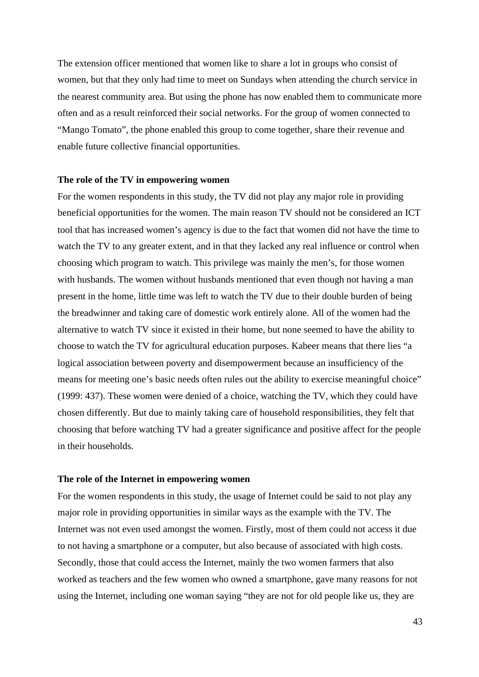The extension officer mentioned that women like to share a lot in groups who consist of women, but that they only had time to meet on Sundays when attending the church service in the nearest community area. But using the phone has now enabled them to communicate more often and as a result reinforced their social networks. For the group of women connected to "Mango Tomato", the phone enabled this group to come together, share their revenue and enable future collective financial opportunities.

#### **The role of the TV in empowering women**

For the women respondents in this study, the TV did not play any major role in providing beneficial opportunities for the women. The main reason TV should not be considered an ICT tool that has increased women's agency is due to the fact that women did not have the time to watch the TV to any greater extent, and in that they lacked any real influence or control when choosing which program to watch. This privilege was mainly the men's, for those women with husbands. The women without husbands mentioned that even though not having a man present in the home, little time was left to watch the TV due to their double burden of being the breadwinner and taking care of domestic work entirely alone. All of the women had the alternative to watch TV since it existed in their home, but none seemed to have the ability to choose to watch the TV for agricultural education purposes. Kabeer means that there lies "a logical association between poverty and disempowerment because an insufficiency of the means for meeting one's basic needs often rules out the ability to exercise meaningful choice" (1999: 437). These women were denied of a choice, watching the TV, which they could have chosen differently. But due to mainly taking care of household responsibilities, they felt that choosing that before watching TV had a greater significance and positive affect for the people in their households.

#### **The role of the Internet in empowering women**

For the women respondents in this study, the usage of Internet could be said to not play any major role in providing opportunities in similar ways as the example with the TV. The Internet was not even used amongst the women. Firstly, most of them could not access it due to not having a smartphone or a computer, but also because of associated with high costs. Secondly, those that could access the Internet, mainly the two women farmers that also worked as teachers and the few women who owned a smartphone, gave many reasons for not using the Internet, including one woman saying "they are not for old people like us, they are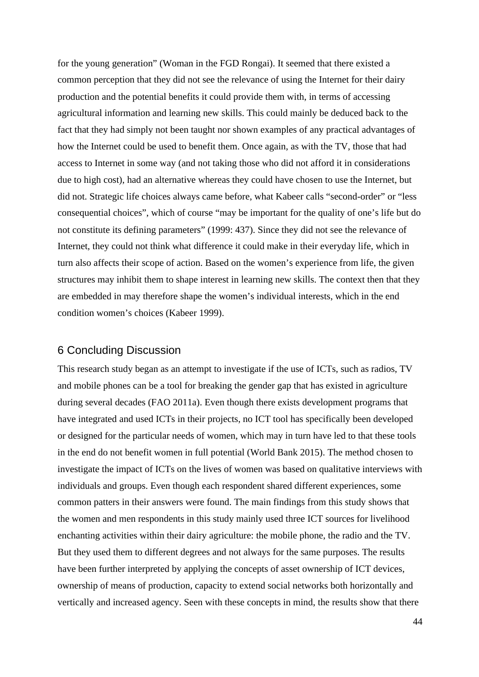for the young generation" (Woman in the FGD Rongai). It seemed that there existed a common perception that they did not see the relevance of using the Internet for their dairy production and the potential benefits it could provide them with, in terms of accessing agricultural information and learning new skills. This could mainly be deduced back to the fact that they had simply not been taught nor shown examples of any practical advantages of how the Internet could be used to benefit them. Once again, as with the TV, those that had access to Internet in some way (and not taking those who did not afford it in considerations due to high cost), had an alternative whereas they could have chosen to use the Internet, but did not. Strategic life choices always came before, what Kabeer calls "second-order" or "less consequential choices", which of course "may be important for the quality of one's life but do not constitute its defining parameters" (1999: 437). Since they did not see the relevance of Internet, they could not think what difference it could make in their everyday life, which in turn also affects their scope of action. Based on the women's experience from life, the given structures may inhibit them to shape interest in learning new skills. The context then that they are embedded in may therefore shape the women's individual interests, which in the end condition women's choices (Kabeer 1999).

#### 6 Concluding Discussion

This research study began as an attempt to investigate if the use of ICTs, such as radios, TV and mobile phones can be a tool for breaking the gender gap that has existed in agriculture during several decades (FAO 2011a). Even though there exists development programs that have integrated and used ICTs in their projects, no ICT tool has specifically been developed or designed for the particular needs of women, which may in turn have led to that these tools in the end do not benefit women in full potential (World Bank 2015). The method chosen to investigate the impact of ICTs on the lives of women was based on qualitative interviews with individuals and groups. Even though each respondent shared different experiences, some common patters in their answers were found. The main findings from this study shows that the women and men respondents in this study mainly used three ICT sources for livelihood enchanting activities within their dairy agriculture: the mobile phone, the radio and the TV. But they used them to different degrees and not always for the same purposes. The results have been further interpreted by applying the concepts of asset ownership of ICT devices, ownership of means of production, capacity to extend social networks both horizontally and vertically and increased agency. Seen with these concepts in mind, the results show that there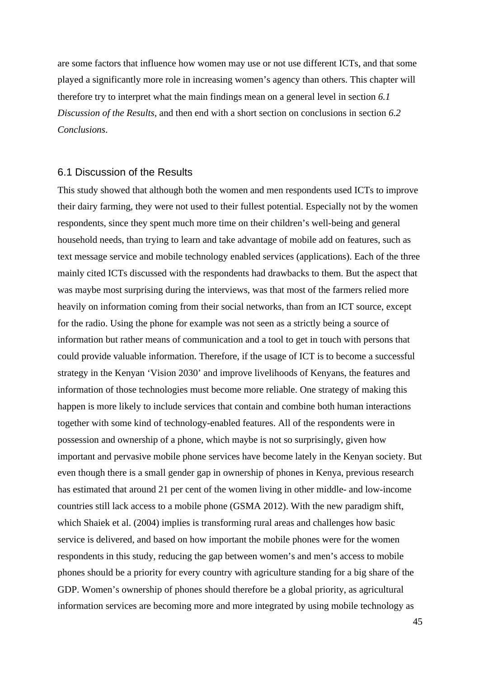are some factors that influence how women may use or not use different ICTs, and that some played a significantly more role in increasing women's agency than others. This chapter will therefore try to interpret what the main findings mean on a general level in section *6.1 Discussion of the Results,* and then end with a short section on conclusions in section *6.2 Conclusions*.

#### 6.1 Discussion of the Results

This study showed that although both the women and men respondents used ICTs to improve their dairy farming, they were not used to their fullest potential. Especially not by the women respondents, since they spent much more time on their children's well-being and general household needs, than trying to learn and take advantage of mobile add on features, such as text message service and mobile technology enabled services (applications). Each of the three mainly cited ICTs discussed with the respondents had drawbacks to them. But the aspect that was maybe most surprising during the interviews, was that most of the farmers relied more heavily on information coming from their social networks, than from an ICT source, except for the radio. Using the phone for example was not seen as a strictly being a source of information but rather means of communication and a tool to get in touch with persons that could provide valuable information. Therefore, if the usage of ICT is to become a successful strategy in the Kenyan 'Vision 2030' and improve livelihoods of Kenyans, the features and information of those technologies must become more reliable. One strategy of making this happen is more likely to include services that contain and combine both human interactions together with some kind of technology-enabled features. All of the respondents were in possession and ownership of a phone, which maybe is not so surprisingly, given how important and pervasive mobile phone services have become lately in the Kenyan society. But even though there is a small gender gap in ownership of phones in Kenya, previous research has estimated that around 21 per cent of the women living in other middle- and low-income countries still lack access to a mobile phone (GSMA 2012). With the new paradigm shift, which Shaiek et al. (2004) implies is transforming rural areas and challenges how basic service is delivered, and based on how important the mobile phones were for the women respondents in this study, reducing the gap between women's and men's access to mobile phones should be a priority for every country with agriculture standing for a big share of the GDP. Women's ownership of phones should therefore be a global priority, as agricultural information services are becoming more and more integrated by using mobile technology as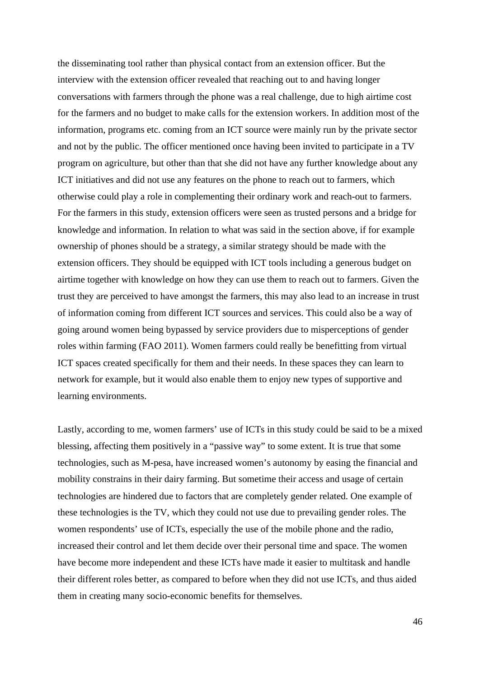the disseminating tool rather than physical contact from an extension officer. But the interview with the extension officer revealed that reaching out to and having longer conversations with farmers through the phone was a real challenge, due to high airtime cost for the farmers and no budget to make calls for the extension workers. In addition most of the information, programs etc. coming from an ICT source were mainly run by the private sector and not by the public. The officer mentioned once having been invited to participate in a TV program on agriculture, but other than that she did not have any further knowledge about any ICT initiatives and did not use any features on the phone to reach out to farmers, which otherwise could play a role in complementing their ordinary work and reach-out to farmers. For the farmers in this study, extension officers were seen as trusted persons and a bridge for knowledge and information. In relation to what was said in the section above, if for example ownership of phones should be a strategy, a similar strategy should be made with the extension officers. They should be equipped with ICT tools including a generous budget on airtime together with knowledge on how they can use them to reach out to farmers. Given the trust they are perceived to have amongst the farmers, this may also lead to an increase in trust of information coming from different ICT sources and services. This could also be a way of going around women being bypassed by service providers due to misperceptions of gender roles within farming (FAO 2011). Women farmers could really be benefitting from virtual ICT spaces created specifically for them and their needs. In these spaces they can learn to network for example, but it would also enable them to enjoy new types of supportive and learning environments.

Lastly, according to me, women farmers' use of ICTs in this study could be said to be a mixed blessing, affecting them positively in a "passive way" to some extent. It is true that some technologies, such as M-pesa, have increased women's autonomy by easing the financial and mobility constrains in their dairy farming. But sometime their access and usage of certain technologies are hindered due to factors that are completely gender related. One example of these technologies is the TV, which they could not use due to prevailing gender roles. The women respondents' use of ICTs, especially the use of the mobile phone and the radio, increased their control and let them decide over their personal time and space. The women have become more independent and these ICTs have made it easier to multitask and handle their different roles better, as compared to before when they did not use ICTs, and thus aided them in creating many socio-economic benefits for themselves.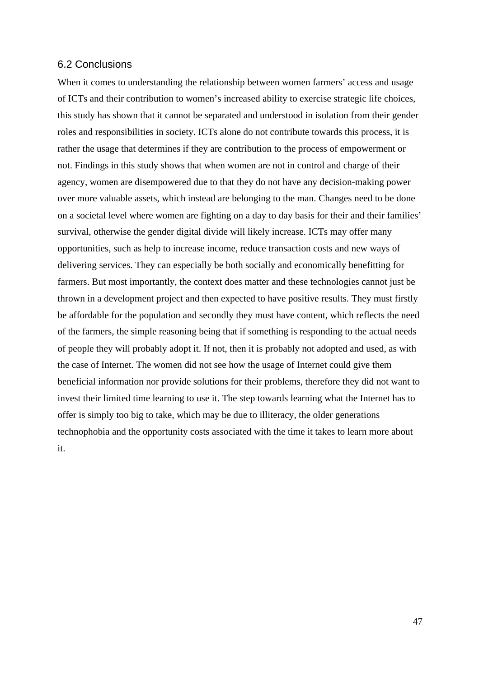#### 6.2 Conclusions

When it comes to understanding the relationship between women farmers' access and usage of ICTs and their contribution to women's increased ability to exercise strategic life choices, this study has shown that it cannot be separated and understood in isolation from their gender roles and responsibilities in society. ICTs alone do not contribute towards this process, it is rather the usage that determines if they are contribution to the process of empowerment or not. Findings in this study shows that when women are not in control and charge of their agency, women are disempowered due to that they do not have any decision-making power over more valuable assets, which instead are belonging to the man. Changes need to be done on a societal level where women are fighting on a day to day basis for their and their families' survival, otherwise the gender digital divide will likely increase. ICTs may offer many opportunities, such as help to increase income, reduce transaction costs and new ways of delivering services. They can especially be both socially and economically benefitting for farmers. But most importantly, the context does matter and these technologies cannot just be thrown in a development project and then expected to have positive results. They must firstly be affordable for the population and secondly they must have content, which reflects the need of the farmers, the simple reasoning being that if something is responding to the actual needs of people they will probably adopt it. If not, then it is probably not adopted and used, as with the case of Internet. The women did not see how the usage of Internet could give them beneficial information nor provide solutions for their problems, therefore they did not want to invest their limited time learning to use it. The step towards learning what the Internet has to offer is simply too big to take, which may be due to illiteracy, the older generations technophobia and the opportunity costs associated with the time it takes to learn more about it.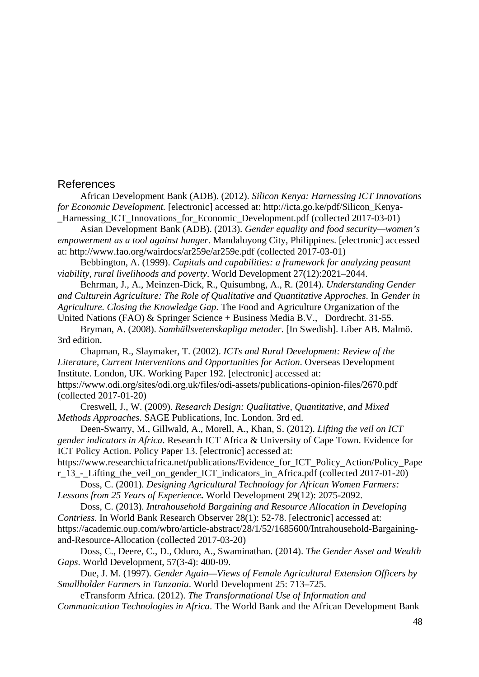#### References

African Development Bank (ADB). (2012). *Silicon Kenya: Harnessing ICT Innovations for Economic Development.* [electronic] accessed at: http://icta.go.ke/pdf/Silicon Kenva-Harnessing ICT Innovations for Economic Development.pdf (collected 2017-03-01)

Asian Development Bank (ADB). (2013). *Gender equality and food security—women's empowerment as a tool against hunger*. Mandaluyong City, Philippines. [electronic] accessed at: http://www.fao.org/wairdocs/ar259e/ar259e.pdf (collected 2017-03-01)

Bebbington, A. (1999). *Capitals and capabilities: a framework for analyzing peasant viability, rural livelihoods and poverty*. World Development 27(12):2021–2044.

Behrman, J., A., Meinzen-Dick, R., Quisumbng, A., R. (2014). *Understanding Gender and Culturein Agriculture: The Role of Qualitative and Quantitative Approches*. In *Gender in Agriculture. Closing the Knowledge Gap*. The Food and Agriculture Organization of the United Nations (FAO) & Springer Science + Business Media B.V., Dordrecht. 31-55.

Bryman, A. (2008). *Samhällsvetenskapliga metoder*. [In Swedish]. Liber AB. Malmö. 3rd edition.

Chapman, R., Slaymaker, T. (2002). *ICTs and Rural Development: Review of the Literature, Current Interventions and Opportunities for Action*. Overseas Development Institute. London, UK. Working Paper 192. [electronic] accessed at: https://www.odi.org/sites/odi.org.uk/files/odi-assets/publications-opinion-files/2670.pdf (collected 2017-01-20)

Creswell, J., W. (2009). *Research Design: Qualitative, Quantitative, and Mixed Methods Approaches*. SAGE Publications, Inc. London. 3rd ed.

Deen-Swarry, M., Gillwald, A., Morell, A., Khan, S. (2012). *Lifting the veil on ICT gender indicators in Africa*. Research ICT Africa & University of Cape Town. Evidence for ICT Policy Action. Policy Paper 13. [electronic] accessed at:

https://www.researchictafrica.net/publications/Evidence for ICT Policy Action/Policy Pape r\_13 - Lifting the veil on gender ICT indicators in Africa.pdf (collected 2017-01-20)

Doss, C. (2001). *Designing Agricultural Technology for African Women Farmers: Lessons from 25 Years of Experience***.** World Development 29(12): 2075-2092.

Doss, C. (2013). *Intrahousehold Bargaining and Resource Allocation in Developing Contriess.* In World Bank Research Observer 28(1): 52-78. [electronic] accessed at: https://academic.oup.com/wbro/article-abstract/28/1/52/1685600/Intrahousehold-Bargainingand-Resource-Allocation (collected 2017-03-20)

Doss, C., Deere, C., D., Oduro, A., Swaminathan. (2014). *The Gender Asset and Wealth Gaps*. World Development, 57(3-4): 400-09.

Due, J. M. (1997). *Gender Again—Views of Female Agricultural Extension Officers by Smallholder Farmers in Tanzania*. World Development 25: 713–725.

eTransform Africa. (2012). *The Transformational Use of Information and Communication Technologies in Africa*. The World Bank and the African Development Bank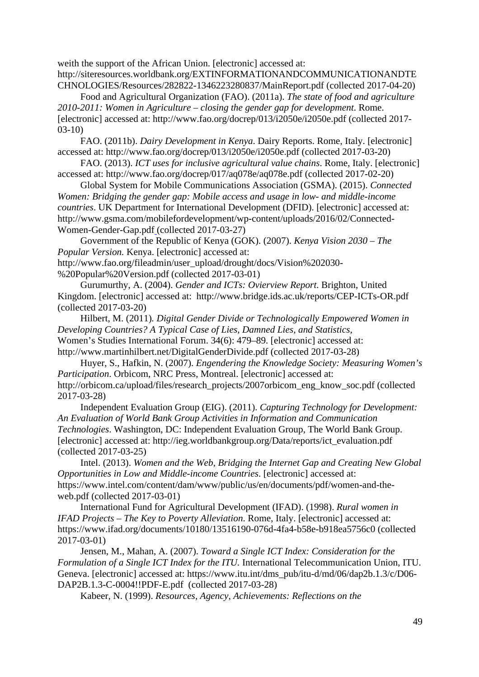weith the support of the African Union. [electronic] accessed at: http://siteresources.worldbank.org/EXTINFORMATIONANDCOMMUNICATIONANDTE CHNOLOGIES/Resources/282822-1346223280837/MainReport.pdf (collected 2017-04-20)

Food and Agricultural Organization (FAO). (2011a). *The state of food and agriculture 2010-2011: Women in Agriculture – closing the gender gap for development*. Rome. [electronic] accessed at: http://www.fao.org/docrep/013/i2050e/i2050e.pdf (collected 2017- 03-10)

FAO. (2011b). *Dairy Development in Kenya*. Dairy Reports. Rome, Italy. [electronic] accessed at: http://www.fao.org/docrep/013/i2050e/i2050e.pdf (collected 2017-03-20)

FAO. (2013). *ICT uses for inclusive agricultural value chains*. Rome, Italy. [electronic] accessed at: http://www.fao.org/docrep/017/aq078e/aq078e.pdf (collected 2017-02-20)

Global System for Mobile Communications Association (GSMA). (2015). *Connected Women: Bridging the gender gap: Mobile access and usage in low- and middle-income countries*. UK Department for International Development (DFID). [electronic] accessed at: http://www.gsma.com/mobilefordevelopment/wp-content/uploads/2016/02/Connected-Women-Gender-Gap.pdf (collected 2017-03-27)

Government of the Republic of Kenya (GOK). (2007). *Kenya Vision 2030 – The Popular Version.* Kenya. [electronic] accessed at: http://www.fao.org/fileadmin/user\_upload/drought/docs/Vision%202030-

%20Popular%20Version.pdf (collected 2017-03-01)

Gurumurthy, A. (2004). *Gender and ICTs: Ovierview Report*. Brighton, United Kingdom. [electronic] accessed at: http://www.bridge.ids.ac.uk/reports/CEP-ICTs-OR.pdf (collected 2017-03-20)

Hilbert, M. (2011)*. Digital Gender Divide or Technologically Empowered Women in Developing Countries? A Typical Case of Lies, Damned Lies, and Statistics,*  Women's Studies International Forum. 34(6): 479–89. [electronic] accessed at: http://www.martinhilbert.net/DigitalGenderDivide.pdf (collected 2017-03-28)

Huyer, S., Hafkin, N. (2007). *Engendering the Knowledge Society: Measuring Women's Participation*. Orbicom, NRC Press, Montreal. [electronic] accessed at: http://orbicom.ca/upload/files/research\_projects/2007orbicom\_eng\_know\_soc.pdf (collected 2017-03-28)

Independent Evaluation Group (EIG). (2011). *Capturing Technology for Development: An Evaluation of World Bank Group Activities in Information and Communication Technologies*. Washington, DC: Independent Evaluation Group, The World Bank Group. [electronic] accessed at: http://ieg.worldbankgroup.org/Data/reports/ict\_evaluation.pdf (collected 2017-03-25)

Intel. (2013). *Women and the Web, Bridging the Internet Gap and Creating New Global Opportunities in Low and Middle-income Countries*. [electronic] accessed at: https://www.intel.com/content/dam/www/public/us/en/documents/pdf/women-and-theweb.pdf (collected 2017-03-01)

International Fund for Agricultural Development (IFAD). (1998). *Rural women in IFAD Projects – The Key to Poverty Alleviation*. Rome, Italy. [electronic] accessed at: https://www.ifad.org/documents/10180/13516190-076d-4fa4-b58e-b918ea5756c0 (collected 2017-03-01)

Jensen, M., Mahan, A. (2007). *Toward a Single ICT Index: Consideration for the Formulation of a Single ICT Index for the ITU.* International Telecommunication Union, ITU. Geneva. [electronic] accessed at: https://www.itu.int/dms\_pub/itu-d/md/06/dap2b.1.3/c/D06- DAP2B.1.3-C-0004!!PDF-E.pdf (collected 2017-03-28)

Kabeer, N. (1999). *Resources, Agency, Achievements: Reflections on the*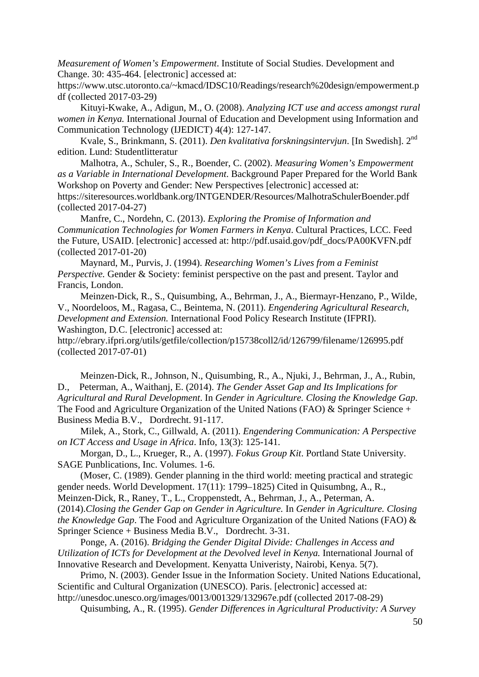*Measurement of Women's Empowerment*. Institute of Social Studies. Development and Change. 30: 435-464. [electronic] accessed at:

https://www.utsc.utoronto.ca/~kmacd/IDSC10/Readings/research%20design/empowerment.p df (collected 2017-03-29)

Kituyi-Kwake, A., Adigun, M., O. (2008). *Analyzing ICT use and access amongst rural women in Kenya.* International Journal of Education and Development using Information and Communication Technology (IJEDICT) 4(4): 127-147.

Kvale, S., Brinkmann, S. (2011). *Den kvalitativa forskningsintervjun*. [In Swedish]. 2nd edition. Lund: Studentlitteratur

Malhotra, A., Schuler, S., R., Boender, C. (2002). *Measuring Women's Empowerment as a Variable in International Development*. Background Paper Prepared for the World Bank Workshop on Poverty and Gender: New Perspectives [electronic] accessed at: https://siteresources.worldbank.org/INTGENDER/Resources/MalhotraSchulerBoender.pdf

(collected 2017-04-27)

Manfre, C., Nordehn, C. (2013). *Exploring the Promise of Information and Communication Technologies for Women Farmers in Kenya*. Cultural Practices, LCC. Feed the Future, USAID. [electronic] accessed at: http://pdf.usaid.gov/pdf\_docs/PA00KVFN.pdf (collected 2017-01-20)

Maynard, M., Purvis, J. (1994). *Researching Women's Lives from a Feminist Perspective.* Gender & Society: feminist perspective on the past and present. Taylor and Francis, London.

Meinzen-Dick, R., S., Quisumbing, A., Behrman, J., A., Biermayr-Henzano, P., Wilde, V., Noordeloos, M., Ragasa, C., Beintema, N. (2011). *Engendering Agricultural Research, Development and Extension.* International Food Policy Research Institute (IFPRI). Washington, D.C. [electronic] accessed at:

http://ebrary.ifpri.org/utils/getfile/collection/p15738coll2/id/126799/filename/126995.pdf (collected 2017-07-01)

Meinzen-Dick, R., Johnson, N., Quisumbing, R., A., Njuki, J., Behrman, J., A., Rubin, D., Peterman, A., Waithanj, E. (2014). *The Gender Asset Gap and Its Implications for Agricultural and Rural Development*. In *Gender in Agriculture. Closing the Knowledge Gap*. The Food and Agriculture Organization of the United Nations (FAO) & Springer Science + Business Media B.V., Dordrecht. 91-117.

Milek, A., Stork, C., Gillwald, A. (2011). *Engendering Communication: A Perspective on ICT Access and Usage in Africa*. Info, 13(3): 125-141.

Morgan, D., L., Krueger, R., A. (1997). *Fokus Group Kit*. Portland State University. SAGE Punblications, Inc. Volumes. 1-6.

(Moser, C. (1989). Gender planning in the third world: meeting practical and strategic gender needs. World Development. 17(11): 1799–1825) Cited in Quisumbng, A., R., Meinzen-Dick, R., Raney, T., L., Croppenstedt, A., Behrman, J., A., Peterman, A. (2014).*Closing the Gender Gap on Gender in Agriculture.* In *Gender in Agriculture. Closing the Knowledge Gap*. The Food and Agriculture Organization of the United Nations (FAO) & Springer Science + Business Media B.V., Dordrecht. 3-31.

Ponge, A. (2016). *Bridging the Gender Digital Divide: Challenges in Access and Utilization of ICTs for Development at the Devolved level in Kenya.* International Journal of Innovative Research and Development. Kenyatta Univeristy, Nairobi, Kenya. 5(7).

Primo, N. (2003). Gender Issue in the Information Society. United Nations Educational, Scientific and Cultural Organization (UNESCO). Paris. [electronic] accessed at: http://unesdoc.unesco.org/images/0013/001329/132967e.pdf (collected 2017-08-29)

Quisumbing, A., R. (1995). *Gender Differences in Agricultural Productivity: A Survey*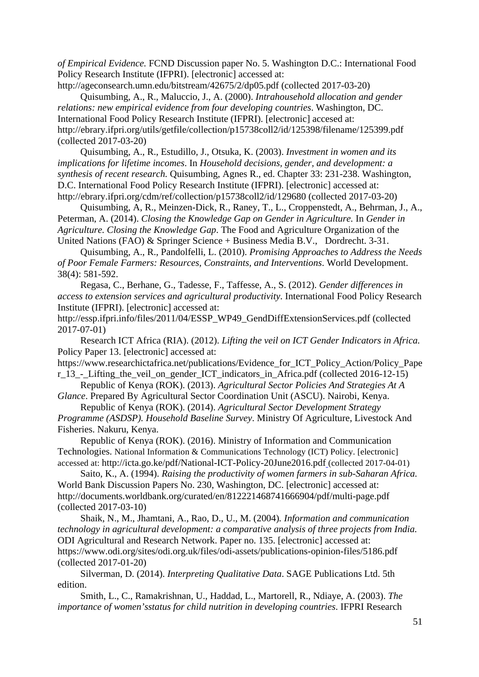*of Empirical Evidence.* FCND Discussion paper No. 5. Washington D.C.: International Food Policy Research Institute (IFPRI). [electronic] accessed at:

http://ageconsearch.umn.edu/bitstream/42675/2/dp05.pdf (collected 2017-03-20) Quisumbing, A., R., Maluccio, J., A. (2000). *Intrahousehold allocation and gender relations: new empirical evidence from four developing countries*. Washington, DC. International Food Policy Research Institute (IFPRI). [electronic] accesed at: http://ebrary.ifpri.org/utils/getfile/collection/p15738coll2/id/125398/filename/125399.pdf (collected 2017-03-20)

Quisumbing, A., R., Estudillo, J., Otsuka, K. (2003). *Investment in women and its implications for lifetime incomes*. In *Household decisions, gender, and development: a synthesis of recent research.* Quisumbing, Agnes R., ed. Chapter 33: 231-238. Washington, D.C. International Food Policy Research Institute (IFPRI). [electronic] accessed at: http://ebrary.ifpri.org/cdm/ref/collection/p15738coll2/id/129680 (collected 2017-03-20)

Quisumbing, A, R., Meinzen-Dick, R., Raney, T., L., Croppenstedt, A., Behrman, J., A., Peterman, A. (2014). *Closing the Knowledge Gap on Gender in Agriculture.* In *Gender in Agriculture. Closing the Knowledge Gap*. The Food and Agriculture Organization of the United Nations (FAO) & Springer Science + Business Media B.V., Dordrecht. 3-31.

Quisumbing, A., R., Pandolfelli, L. (2010). *Promising Approaches to Address the Needs of Poor Female Farmers: Resources, Constraints, and Interventions*. World Development. 38(4): 581-592.

Regasa, C., Berhane, G., Tadesse, F., Taffesse, A., S. (2012). *Gender differences in access to extension services and agricultural productivity*. International Food Policy Research Institute (IFPRI). [electronic] accessed at:

http://essp.ifpri.info/files/2011/04/ESSP\_WP49\_GendDiffExtensionServices.pdf (collected 2017-07-01)

Research ICT Africa (RIA). (2012). *Lifting the veil on ICT Gender Indicators in Africa.*  Policy Paper 13. [electronic] accessed at:

https://www.researchictafrica.net/publications/Evidence for ICT Policy Action/Policy Pape r\_13 - Lifting the veil on gender ICT indicators in Africa.pdf (collected 2016-12-15)

Republic of Kenya (ROK). (2013). *Agricultural Sector Policies And Strategies At A Glance*. Prepared By Agricultural Sector Coordination Unit (ASCU). Nairobi, Kenya.

Republic of Kenya (ROK). (2014). *Agricultural Sector Development Strategy Programme (ASDSP). Household Baseline Survey*. Ministry Of Agriculture, Livestock And Fisheries. Nakuru, Kenya.

Republic of Kenya (ROK). (2016). Ministry of Information and Communication Technologies. National Information & Communications Technology (ICT) Policy. [electronic] accessed at: http://icta.go.ke/pdf/National-ICT-Policy-20June2016.pdf (collected 2017-04-01)

Saito, K., A. (1994). *Raising the productivity of women farmers in sub-Saharan Africa.* World Bank Discussion Papers No. 230, Washington, DC. [electronic] accessed at: http://documents.worldbank.org/curated/en/812221468741666904/pdf/multi-page.pdf (collected 2017-03-10)

Shaik, N., M., Jhamtani, A., Rao, D., U., M. (2004)*. Information and communication technology in agricultural development: a comparative analysis of three projects from India.* ODI Agricultural and Research Network. Paper no. 135. [electronic] accessed at: https://www.odi.org/sites/odi.org.uk/files/odi-assets/publications-opinion-files/5186.pdf (collected 2017-01-20)

Silverman, D. (2014). *Interpreting Qualitative Data*. SAGE Publications Ltd. 5th edition.

Smith, L., C., Ramakrishnan, U., Haddad, L., Martorell, R., Ndiaye, A. (2003). *The importance of women'sstatus for child nutrition in developing countries*. IFPRI Research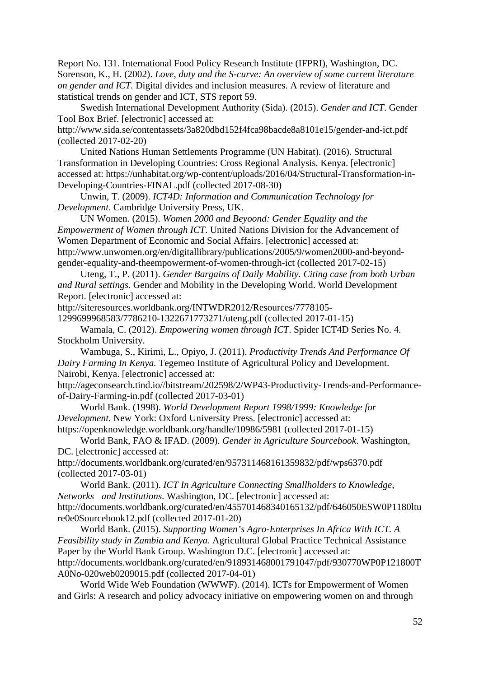Report No. 131. International Food Policy Research Institute (IFPRI), Washington, DC. Sorenson, K., H. (2002). *Love, duty and the S-curve: An overview of some current literature on gender and ICT.* Digital divides and inclusion measures. A review of literature and statistical trends on gender and ICT, STS report 59.

Swedish International Development Authority (Sida). (2015). *Gender and ICT*. Gender Tool Box Brief. [electronic] accessed at:

http://www.sida.se/contentassets/3a820dbd152f4fca98bacde8a8101e15/gender-and-ict.pdf (collected 2017-02-20)

United Nations Human Settlements Programme (UN Habitat). (2016). Structural Transformation in Developing Countries: Cross Regional Analysis. Kenya. [electronic] accessed at: https://unhabitat.org/wp-content/uploads/2016/04/Structural-Transformation-in-Developing-Countries-FINAL.pdf (collected 2017-08-30)

Unwin, T. (2009). *ICT4D: Information and Communication Technology for Development*. Cambridge University Press, UK.

UN Women. (2015). *Women 2000 and Beyoond: Gender Equality and the Empowerment of Women through ICT*. United Nations Division for the Advancement of Women Department of Economic and Social Affairs. [electronic] accessed at: http://www.unwomen.org/en/digitallibrary/publications/2005/9/women2000-and-beyondgender-equality-and-theempowerment-of-women-through-ict (collected 2017-02-15)

Uteng, T., P. (2011). *Gender Bargains of Daily Mobility. Citing case from both Urban and Rural settings.* Gender and Mobility in the Developing World. World Development Report. [electronic] accessed at:

http://siteresources.worldbank.org/INTWDR2012/Resources/7778105-

1299699968583/7786210-1322671773271/uteng.pdf (collected 2017-01-15)

Wamala, C. (2012). *Empowering women through ICT*. Spider ICT4D Series No. 4. Stockholm University.

Wambuga, S., Kirimi, L., Opiyo, J. (2011). *Productivity Trends And Performance Of Dairy Farming In Kenya.* Tegemeo Institute of Agricultural Policy and Development. Nairobi, Kenya. [electronic] accessed at:

http://ageconsearch.tind.io//bitstream/202598/2/WP43-Productivity-Trends-and-Performanceof-Dairy-Farming-in.pdf (collected 2017-03-01)

World Bank. (1998). *World Development Report 1998/1999: Knowledge for Development.* New York: Oxford University Press. [electronic] accessed at: https://openknowledge.worldbank.org/handle/10986/5981 (collected 2017-01-15)

World Bank, FAO & IFAD. (2009). *Gender in Agriculture Sourcebook*. Washington, DC. [electronic] accessed at:

http://documents.worldbank.org/curated/en/957311468161359832/pdf/wps6370.pdf (collected 2017-03-01)

World Bank. (2011). *ICT In Agriculture Connecting Smallholders to Knowledge, Networks and Institutions.* Washington, DC. [electronic] accessed at: http://documents.worldbank.org/curated/en/455701468340165132/pdf/646050ESW0P1180ltu re0e0Sourcebook12.pdf (collected 2017-01-20)

World Bank. (2015). *Supporting Women's Agro-Enterprises In Africa With ICT. A Feasibility study in Zambia and Kenya*. Agricultural Global Practice Technical Assistance Paper by the World Bank Group. Washington D.C. [electronic] accessed at: http://documents.worldbank.org/curated/en/918931468001791047/pdf/930770WP0P121800T A0No-020web0209015.pdf (collected 2017-04-01)

World Wide Web Foundation (WWWF). (2014). ICTs for Empowerment of Women and Girls: A research and policy advocacy initiative on empowering women on and through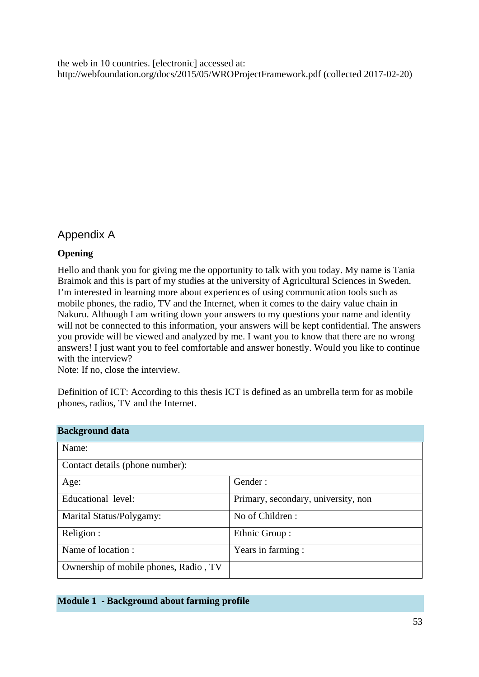the web in 10 countries. [electronic] accessed at: http://webfoundation.org/docs/2015/05/WROProjectFramework.pdf (collected 2017-02-20)

## Appendix A

## **Opening**

Hello and thank you for giving me the opportunity to talk with you today. My name is Tania Braimok and this is part of my studies at the university of Agricultural Sciences in Sweden. I'm interested in learning more about experiences of using communication tools such as mobile phones, the radio, TV and the Internet, when it comes to the dairy value chain in Nakuru. Although I am writing down your answers to my questions your name and identity will not be connected to this information, your answers will be kept confidential. The answers you provide will be viewed and analyzed by me. I want you to know that there are no wrong answers! I just want you to feel comfortable and answer honestly. Would you like to continue with the interview?

Note: If no, close the interview.

Definition of ICT: According to this thesis ICT is defined as an umbrella term for as mobile phones, radios, TV and the Internet.

| <b>Background data</b>                |                                     |
|---------------------------------------|-------------------------------------|
| Name:                                 |                                     |
| Contact details (phone number):       |                                     |
| Age:                                  | Gender:                             |
| Educational level:                    | Primary, secondary, university, non |
| Marital Status/Polygamy:              | No of Children:                     |
| Religion :                            | Ethnic Group:                       |
| Name of location:                     | Years in farming :                  |
| Ownership of mobile phones, Radio, TV |                                     |

|  |  | <b>Module 1 - Background about farming profile</b> |  |
|--|--|----------------------------------------------------|--|
|--|--|----------------------------------------------------|--|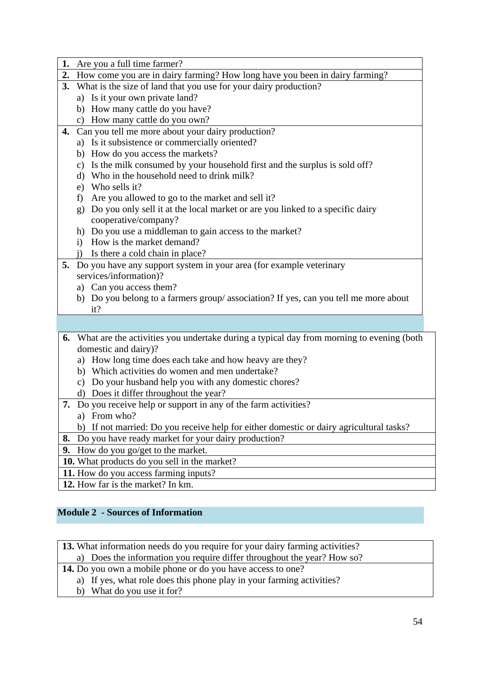|  | 1. Are you a full time farmer? |  |  |  |
|--|--------------------------------|--|--|--|
|--|--------------------------------|--|--|--|

- **2.** How come you are in dairy farming? How long have you been in dairy farming?
- **3.** What is the size of land that you use for your dairy production?
	- a) Is it your own private land?
	- b) How many cattle do you have?
	- c) How many cattle do you own?
- **4.** Can you tell me more about your dairy production?
	- a) Is it subsistence or commercially oriented?
	- b) How do you access the markets?
	- c) Is the milk consumed by your household first and the surplus is sold off?
	- d) Who in the household need to drink milk?
	- e) Who sells it?
	- f) Are you allowed to go to the market and sell it?
	- g) Do you only sell it at the local market or are you linked to a specific dairy cooperative/company?
	- h) Do you use a middleman to gain access to the market?
	- i) How is the market demand?
	- j) Is there a cold chain in place?
- **5.** Do you have any support system in your area (for example veterinary services/information)?
	- a) Can you access them?
	- b) Do you belong to a farmers group/ association? If yes, can you tell me more about it?
- **6.** What are the activities you undertake during a typical day from morning to evening (both domestic and dairy)?
	- a) How long time does each take and how heavy are they?
	- b) Which activities do women and men undertake?
	- c) Do your husband help you with any domestic chores?
	- d) Does it differ throughout the year?
- **7.** Do you receive help or support in any of the farm activities?
	- a) From who?

b) If not married: Do you receive help for either domestic or dairy agricultural tasks?

- **8.** Do you have ready market for your dairy production?
- **9.** How do you go/get to the market.
- **10.** What products do you sell in the market?
- **11.** How do you access farming inputs?
- **12.** How far is the market? In km.

## **Module 2 - Sources of Information**

- **13.** What information needs do you require for your dairy farming activities?
	- a) Does the information you require differ throughout the year? How so?
- **14.** Do you own a mobile phone or do you have access to one?
	- a) If yes, what role does this phone play in your farming activities?
	- b) What do you use it for?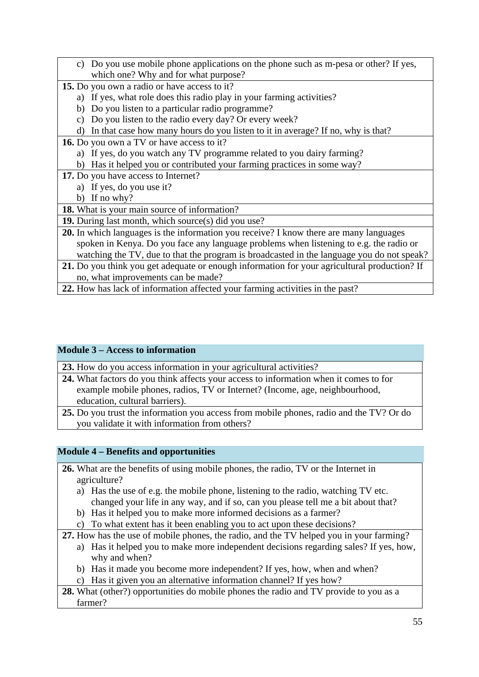- c) Do you use mobile phone applications on the phone such as m-pesa or other? If yes, which one? Why and for what purpose?
- **15.** Do you own a radio or have access to it?
	- a) If yes, what role does this radio play in your farming activities?
	- b) Do you listen to a particular radio programme?
	- c) Do you listen to the radio every day? Or every week?
	- d) In that case how many hours do you listen to it in average? If no, why is that?
- **16.** Do you own a TV or have access to it?
	- a) If yes, do you watch any TV programme related to you dairy farming?
	- b) Has it helped you or contributed your farming practices in some way?
- **17.** Do you have access to Internet?
	- a) If yes, do you use it?
	- b) If no why?

## **18.** What is your main source of information?

- **19.** During last month, which source(s) did you use?
- **20.** In which languages is the information you receive? I know there are many languages spoken in Kenya. Do you face any language problems when listening to e.g. the radio or watching the TV, due to that the program is broadcasted in the language you do not speak?
- **21.** Do you think you get adequate or enough information for your agricultural production? If no, what improvements can be made?
- **22.** How has lack of information affected your farming activities in the past?

## **Module 3 – Access to information**

**23.** How do you access information in your agricultural activities?

- **24.** What factors do you think affects your access to information when it comes to for example mobile phones, radios, TV or Internet? (Income, age, neighbourhood, education, cultural barriers).
- **25.** Do you trust the information you access from mobile phones, radio and the TV? Or do you validate it with information from others?

## **Module 4 – Benefits and opportunities**

- **26.** What are the benefits of using mobile phones, the radio, TV or the Internet in agriculture?
	- a) Has the use of e.g. the mobile phone, listening to the radio, watching TV etc. changed your life in any way, and if so, can you please tell me a bit about that?
	- b) Has it helped you to make more informed decisions as a farmer?
	- c) To what extent has it been enabling you to act upon these decisions?
- **27.** How has the use of mobile phones, the radio, and the TV helped you in your farming?
	- a) Has it helped you to make more independent decisions regarding sales? If yes, how, why and when?
	- b) Has it made you become more independent? If yes, how, when and when?
	- c) Has it given you an alternative information channel? If yes how?
- **28.** What (other?) opportunities do mobile phones the radio and TV provide to you as a farmer?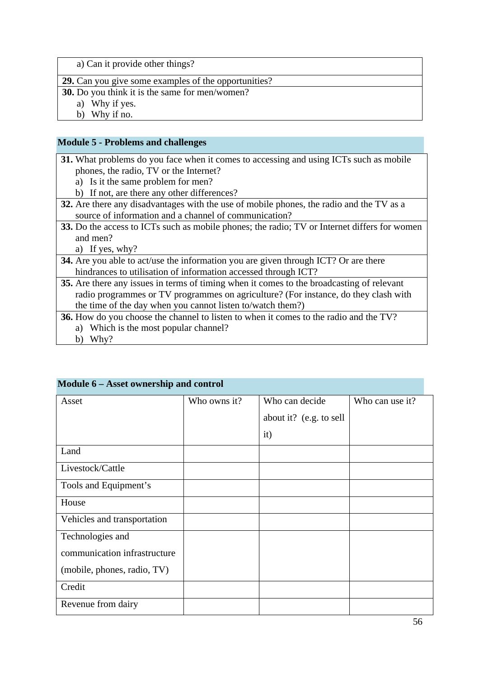a) Can it provide other things?

**29.** Can you give some examples of the opportunities?

**30.** Do you think it is the same for men/women?

a) Why if yes.

b) Why if no.

#### **Module 5 - Problems and challenges**

**31.** What problems do you face when it comes to accessing and using ICTs such as mobile phones, the radio, TV or the Internet?

- a) Is it the same problem for men?
- b) If not, are there any other differences?

**32.** Are there any disadvantages with the use of mobile phones, the radio and the TV as a source of information and a channel of communication?

**33.** Do the access to ICTs such as mobile phones; the radio; TV or Internet differs for women and men?

a) If yes, why?

- **34.** Are you able to act/use the information you are given through ICT? Or are there hindrances to utilisation of information accessed through ICT?
- **35.** Are there any issues in terms of timing when it comes to the broadcasting of relevant radio programmes or TV programmes on agriculture? (For instance, do they clash with the time of the day when you cannot listen to/watch them?)
- **36.** How do you choose the channel to listen to when it comes to the radio and the TV? a) Which is the most popular channel?
	- b) Why?

| Asset                        | Who owns it? | Who can decide          | Who can use it? |
|------------------------------|--------------|-------------------------|-----------------|
|                              |              | about it? (e.g. to sell |                 |
|                              |              | it)                     |                 |
| Land                         |              |                         |                 |
| Livestock/Cattle             |              |                         |                 |
| Tools and Equipment's        |              |                         |                 |
| House                        |              |                         |                 |
| Vehicles and transportation  |              |                         |                 |
| Technologies and             |              |                         |                 |
| communication infrastructure |              |                         |                 |
| (mobile, phones, radio, TV)  |              |                         |                 |
| Credit                       |              |                         |                 |
| Revenue from dairy           |              |                         |                 |

## **Module 6 – Asset ownership and control**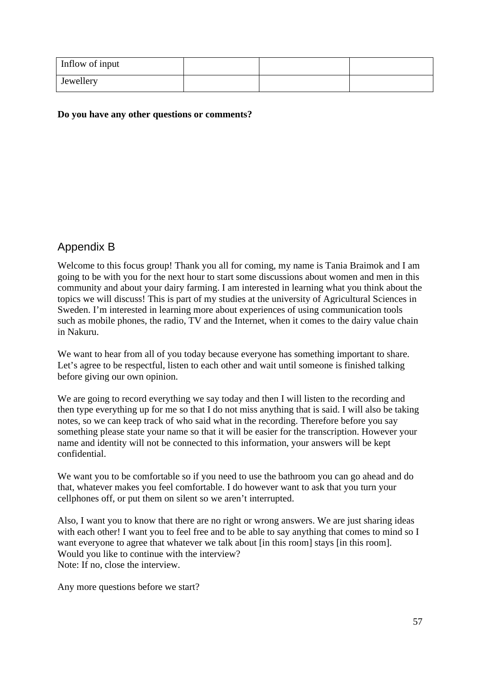| Inflow of input |  |  |
|-----------------|--|--|
| Jewellery       |  |  |

#### **Do you have any other questions or comments?**

## Appendix B

Welcome to this focus group! Thank you all for coming, my name is Tania Braimok and I am going to be with you for the next hour to start some discussions about women and men in this community and about your dairy farming. I am interested in learning what you think about the topics we will discuss! This is part of my studies at the university of Agricultural Sciences in Sweden. I'm interested in learning more about experiences of using communication tools such as mobile phones, the radio, TV and the Internet, when it comes to the dairy value chain in Nakuru.

We want to hear from all of you today because everyone has something important to share. Let's agree to be respectful, listen to each other and wait until someone is finished talking before giving our own opinion.

We are going to record everything we say today and then I will listen to the recording and then type everything up for me so that I do not miss anything that is said. I will also be taking notes, so we can keep track of who said what in the recording. Therefore before you say something please state your name so that it will be easier for the transcription. However your name and identity will not be connected to this information, your answers will be kept confidential.

We want you to be comfortable so if you need to use the bathroom you can go ahead and do that, whatever makes you feel comfortable. I do however want to ask that you turn your cellphones off, or put them on silent so we aren't interrupted.

Also, I want you to know that there are no right or wrong answers. We are just sharing ideas with each other! I want you to feel free and to be able to say anything that comes to mind so I want everyone to agree that whatever we talk about [in this room] stays [in this room]. Would you like to continue with the interview? Note: If no, close the interview.

Any more questions before we start?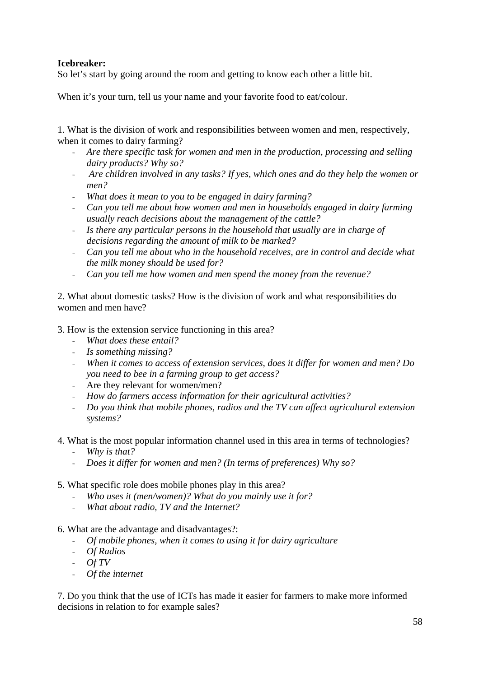## **Icebreaker:**

So let's start by going around the room and getting to know each other a little bit.

When it's your turn, tell us your name and your favorite food to eat/colour.

1. What is the division of work and responsibilities between women and men, respectively, when it comes to dairy farming?

- *Are there specific task for women and men in the production, processing and selling dairy products? Why so?*
- *Are children involved in any tasks? If yes, which ones and do they help the women or men?*
- *What does it mean to you to be engaged in dairy farming?*
- *Can you tell me about how women and men in households engaged in dairy farming usually reach decisions about the management of the cattle?*
- *Is there any particular persons in the household that usually are in charge of decisions regarding the amount of milk to be marked?*
- *Can you tell me about who in the household receives, are in control and decide what the milk money should be used for?*
- *Can you tell me how women and men spend the money from the revenue?*

2. What about domestic tasks? How is the division of work and what responsibilities do women and men have?

3. How is the extension service functioning in this area?

- *What does these entail?*
- *Is something missing?*
- *When it comes to access of extension services, does it differ for women and men? Do you need to bee in a farming group to get access?*
- Are they relevant for women/men?
- *How do farmers access information for their agricultural activities?*
- *Do you think that mobile phones, radios and the TV can affect agricultural extension systems?*
- 4. What is the most popular information channel used in this area in terms of technologies?
	- *Why is that?*
	- *Does it differ for women and men? (In terms of preferences) Why so?*

#### 5. What specific role does mobile phones play in this area?

- *Who uses it (men/women)? What do you mainly use it for?*
- *What about radio, TV and the Internet?*

#### 6. What are the advantage and disadvantages?:

- *Of mobile phones, when it comes to using it for dairy agriculture*
- *Of Radios*
- *Of TV*
- *Of the internet*

7. Do you think that the use of ICTs has made it easier for farmers to make more informed decisions in relation to for example sales?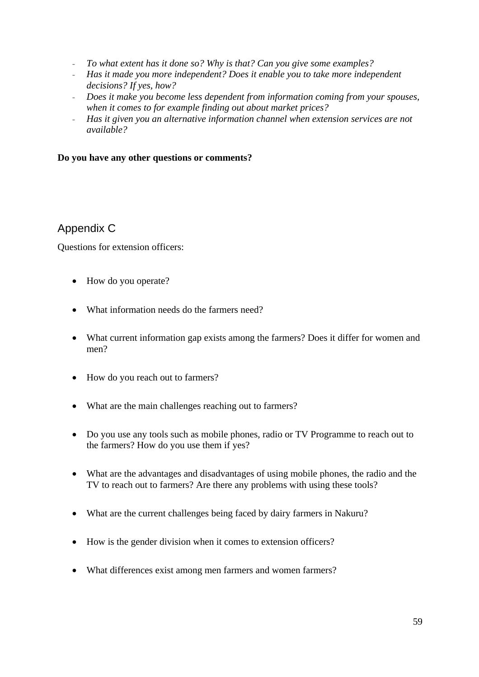- *To what extent has it done so? Why is that? Can you give some examples?*
- *Has it made you more independent? Does it enable you to take more independent decisions? If yes, how?*
- *Does it make you become less dependent from information coming from your spouses, when it comes to for example finding out about market prices?*
- *Has it given you an alternative information channel when extension services are not available?*

#### **Do you have any other questions or comments?**

## Appendix C

Questions for extension officers:

- How do you operate?
- What information needs do the farmers need?
- What current information gap exists among the farmers? Does it differ for women and men?
- How do you reach out to farmers?
- What are the main challenges reaching out to farmers?
- Do you use any tools such as mobile phones, radio or TV Programme to reach out to the farmers? How do you use them if yes?
- What are the advantages and disadvantages of using mobile phones, the radio and the TV to reach out to farmers? Are there any problems with using these tools?
- What are the current challenges being faced by dairy farmers in Nakuru?
- How is the gender division when it comes to extension officers?
- What differences exist among men farmers and women farmers?